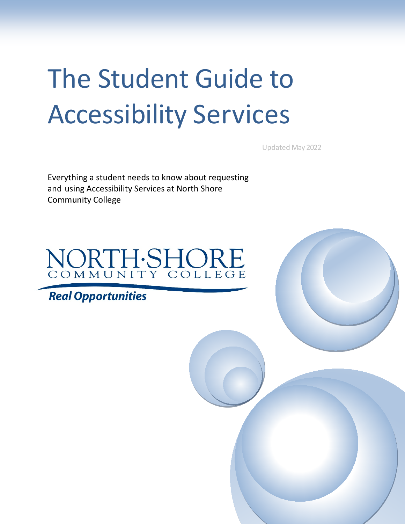# The Student Guide to Accessibility Services

Updated May 2022

Everything a student needs to know about requesting and using Accessibility Services at North Shore Community College



# **Real Opportunities**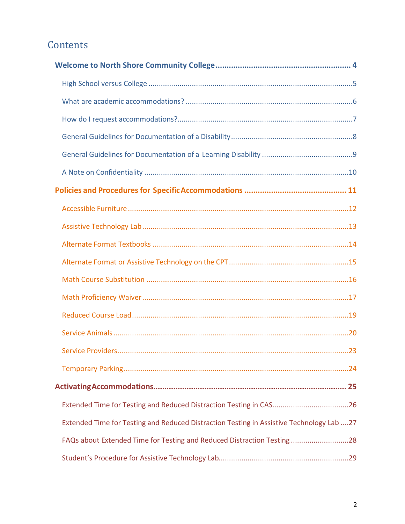# **Contents**

| Extended Time for Testing and Reduced Distraction Testing in CAS26                       |  |
|------------------------------------------------------------------------------------------|--|
| Extended Time for Testing and Reduced Distraction Testing in Assistive Technology Lab 27 |  |
| FAQs about Extended Time for Testing and Reduced Distraction Testing28                   |  |
|                                                                                          |  |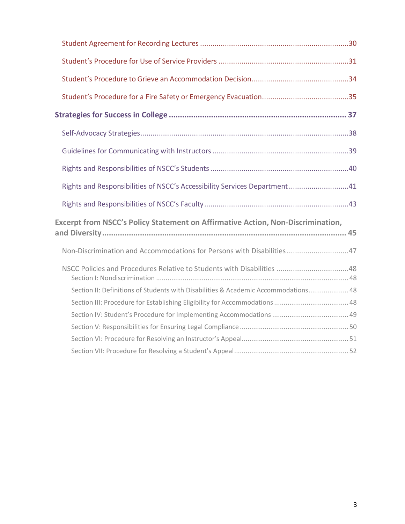| Rights and Responsibilities of NSCC's Accessibility Services Department41          |
|------------------------------------------------------------------------------------|
|                                                                                    |
| Excerpt from NSCC's Policy Statement on Affirmative Action, Non-Discrimination,    |
| Non-Discrimination and Accommodations for Persons with Disabilities47              |
| NSCC Policies and Procedures Relative to Students with Disabilities 48             |
| Section II: Definitions of Students with Disabilities & Academic Accommodations 48 |
|                                                                                    |
|                                                                                    |
|                                                                                    |
|                                                                                    |
|                                                                                    |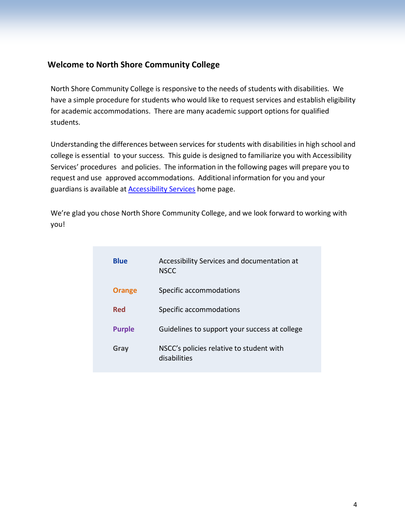## <span id="page-3-0"></span>**Welcome to North Shore Community College**

North Shore Community College is responsive to the needs of students with disabilities. We have a simple procedure for students who would like to request services and establish eligibility for academic accommodations. There are many academic support options for qualified students.

Understanding the differences between services for students with disabilities in high school and college is essential to your success. This guide is designed to familiarize you with Accessibility Services' procedures and policies. The information in the following pages will prepare you to request and use approved accommodations. Additional information for you and your guardians is available at [Accessibility Services](http://www.northshore.edu/accessibility) home page.

We're glad you chose North Shore Community College, and we look forward to working with you!

| <b>Blue</b>   | Accessibility Services and documentation at<br><b>NSCC</b> |
|---------------|------------------------------------------------------------|
| <b>Orange</b> | Specific accommodations                                    |
| <b>Red</b>    | Specific accommodations                                    |
| <b>Purple</b> | Guidelines to support your success at college              |
| Gray          | NSCC's policies relative to student with<br>disabilities   |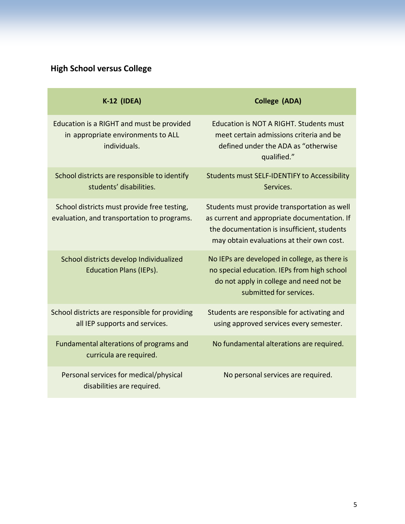# <span id="page-4-0"></span>**High School versus College**

| <b>K-12 (IDEA)</b>                                                                              | <b>College (ADA)</b>                                                                                                                                                                     |
|-------------------------------------------------------------------------------------------------|------------------------------------------------------------------------------------------------------------------------------------------------------------------------------------------|
| Education is a RIGHT and must be provided<br>in appropriate environments to ALL<br>individuals. | <b>Education is NOT A RIGHT. Students must</b><br>meet certain admissions criteria and be<br>defined under the ADA as "otherwise<br>qualified."                                          |
| School districts are responsible to identify<br>students' disabilities.                         | <b>Students must SELF-IDENTIFY to Accessibility</b><br>Services.                                                                                                                         |
| School districts must provide free testing,<br>evaluation, and transportation to programs.      | Students must provide transportation as well<br>as current and appropriate documentation. If<br>the documentation is insufficient, students<br>may obtain evaluations at their own cost. |
| School districts develop Individualized<br><b>Education Plans (IEPs).</b>                       | No IEPs are developed in college, as there is<br>no special education. IEPs from high school<br>do not apply in college and need not be<br>submitted for services.                       |
| School districts are responsible for providing<br>all IEP supports and services.                | Students are responsible for activating and<br>using approved services every semester.                                                                                                   |
| Fundamental alterations of programs and<br>curricula are required.                              | No fundamental alterations are required.                                                                                                                                                 |
| Personal services for medical/physical<br>disabilities are required.                            | No personal services are required.                                                                                                                                                       |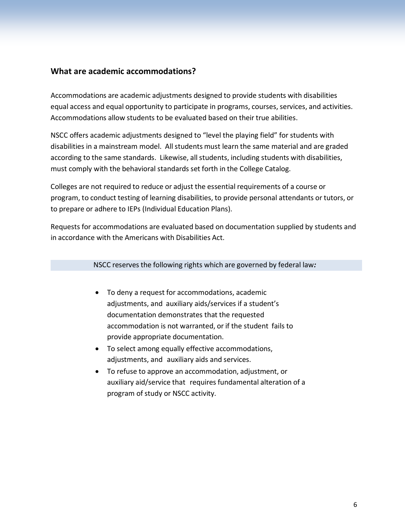#### <span id="page-5-0"></span>**What are academic accommodations?**

Accommodations are academic adjustments designed to provide students with disabilities equal access and equal opportunity to participate in programs, courses, services, and activities. Accommodations allow students to be evaluated based on their true abilities.

NSCC offers academic adjustments designed to "level the playing field" for students with disabilities in a mainstream model. Allstudents must learn the same material and are graded according to the same standards. Likewise, all students, including students with disabilities, must comply with the behavioral standards set forth in the College Catalog.

Colleges are not required to reduce or adjust the essential requirements of a course or program, to conduct testing of learning disabilities, to provide personal attendants or tutors, or to prepare or adhere to IEPs (Individual Education Plans).

Requests for accommodations are evaluated based on documentation supplied by students and in accordance with the Americans with Disabilities Act.

#### NSCC reserves the following rights which are governed by federal law*:*

- To deny a request for accommodations, academic adjustments, and auxiliary aids/services if a student's documentation demonstrates that the requested accommodation is not warranted, or if the student fails to provide appropriate documentation.
- To select among equally effective accommodations, adjustments, and auxiliary aids and services.
- To refuse to approve an accommodation, adjustment, or auxiliary aid/service that requires fundamental alteration of a program of study or NSCC activity.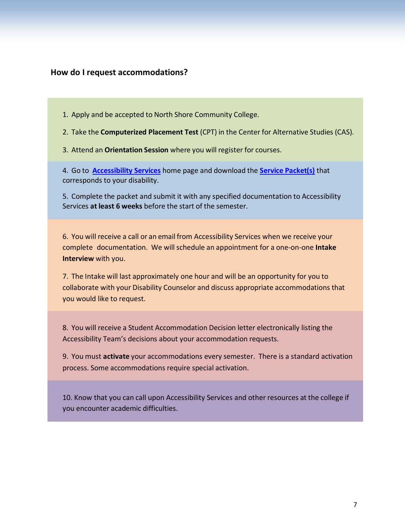#### <span id="page-6-0"></span>**How do I request accommodations?**

- 1. Apply and be accepted to North Shore Community College.
- 2. Take the **Computerized Placement Test** (CPT) in the Center for Alternative Studies (CAS).
- 3. Attend an **Orientation Session** where you will register for courses.

4. Go to **[Accessibility Services](http://www.northshore.edu/accessibility)** home page and download the **[Service Packet\(s\)](http://www.northshore.edu/accessibility/request-services.html)** that corresponds to your disability.

5. Complete the packet and submit it with any specified documentation to Accessibility Services **at least 6 weeks** before the start of the semester.

6. You will receive a call or an email from Accessibility Services when we receive your complete documentation. We willschedule an appointment for a one-on-one **Intake Interview** with you.

7. The Intake will last approximately one hour and will be an opportunity for you to collaborate with your Disability Counselor and discuss appropriate accommodations that you would like to request.

8. You will receive a Student Accommodation Decision letter electronically listing the Accessibility Team's decisions about your accommodation requests.

9. You must **activate** your accommodations every semester. There is a standard activation process. Some accommodations require special activation.

10. Know that you can call upon Accessibility Services and other resources at the college if you encounter academic difficulties.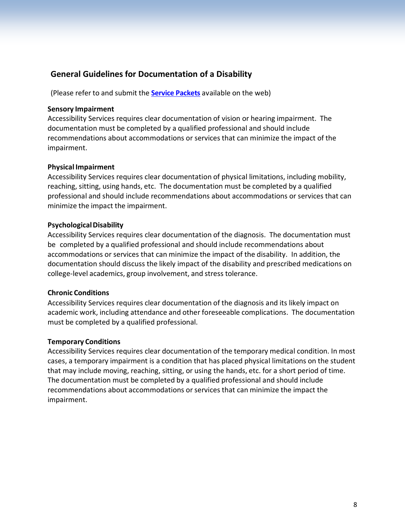## <span id="page-7-0"></span>**General Guidelines for Documentation of a Disability**

(Please refer to and submit the **[Service Packets](http://www.northshore.edu/accessibility/request-services.html)** available on the web)

#### **Sensory Impairment**

Accessibility Services requires clear documentation of vision or hearing impairment. The documentation must be completed by a qualified professional and should include recommendations about accommodations or services that can minimize the impact of the impairment.

#### **Physical Impairment**

Accessibility Services requires clear documentation of physical limitations, including mobility, reaching, sitting, using hands, etc. The documentation must be completed by a qualified professional and should include recommendations about accommodations or services that can minimize the impact the impairment.

#### **PsychologicalDisability**

Accessibility Services requires clear documentation of the diagnosis. The documentation must be completed by a qualified professional and should include recommendations about accommodations or services that can minimize the impact of the disability. In addition, the documentation should discuss the likely impact of the disability and prescribed medications on college-level academics, group involvement, and stress tolerance.

#### **Chronic Conditions**

Accessibility Services requires clear documentation of the diagnosis and its likely impact on academic work, including attendance and other foreseeable complications. The documentation must be completed by a qualified professional.

#### **Temporary Conditions**

Accessibility Services requires clear documentation of the temporary medical condition. In most cases, a temporary impairment is a condition that has placed physical limitations on the student that may include moving, reaching, sitting, or using the hands, etc. for a short period of time. The documentation must be completed by a qualified professional and should include recommendations about accommodations orservices that can minimize the impact the impairment.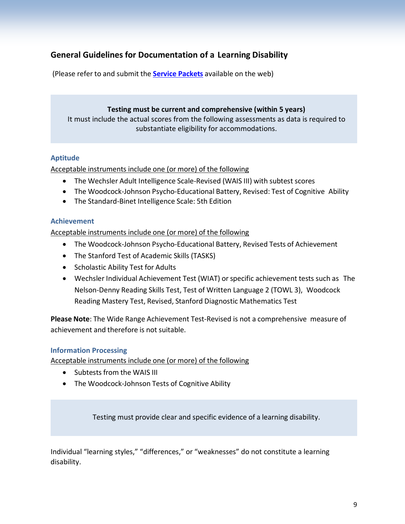## <span id="page-8-0"></span>**General Guidelines for Documentation of a Learning Disability**

(Please refer to and submit the **[Service Packets](http://www.northshore.edu/accessibility/request-services.html)** available on the web)

#### **Testing must be current and comprehensive (within 5 years)** It must include the actual scores from the following assessments as data is required to substantiate eligibility for accommodations.

#### **Aptitude**

Acceptable instruments include one (or more) of the following

- The Wechsler Adult Intelligence Scale-Revised (WAIS III) with subtest scores
- The Woodcock-Johnson Psycho-Educational Battery, Revised: Test of Cognitive Ability
- The Standard-Binet Intelligence Scale: 5th Edition

#### **Achievement**

Acceptable instruments include one (or more) of the following

- The Woodcock-Johnson Psycho-Educational Battery, Revised Tests of Achievement
- The Stanford Test of Academic Skills (TASKS)
- Scholastic Ability Test for Adults
- Wechsler Individual Achievement Test (WIAT) or specific achievement tests such as The Nelson-Denny Reading Skills Test, Test of Written Language 2 (TOWL 3), Woodcock Reading Mastery Test, Revised, Stanford Diagnostic Mathematics Test

**Please Note**: The Wide Range Achievement Test-Revised is not a comprehensive measure of achievement and therefore is not suitable.

#### **Information Processing**

Acceptable instruments include one (or more) of the following

- Subtests from the WAIS III
- The Woodcock-Johnson Tests of Cognitive Ability

Testing must provide clear and specific evidence of a learning disability.

Individual "learning styles," "differences," or "weaknesses" do not constitute a learning disability.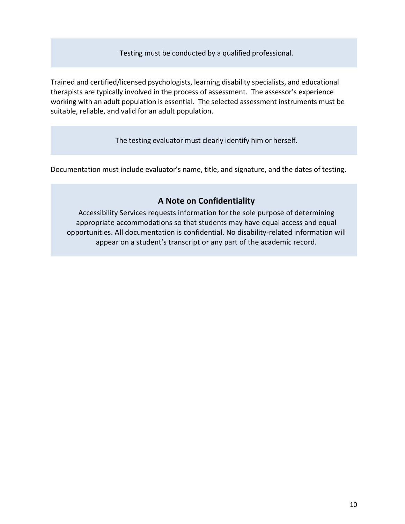Testing must be conducted by a qualified professional.

Trained and certified/licensed psychologists, learning disability specialists, and educational therapists are typically involved in the process of assessment. The assessor's experience working with an adult population is essential. The selected assessment instruments must be suitable, reliable, and valid for an adult population.

The testing evaluator must clearly identify him or herself.

Documentation must include evaluator's name, title, and signature, and the dates of testing.

## **A Note on Confidentiality**

<span id="page-9-0"></span>Accessibility Services requests information for the sole purpose of determining appropriate accommodations so that students may have equal access and equal opportunities. All documentation is confidential. No disability-related information will appear on a student's transcript or any part of the academic record.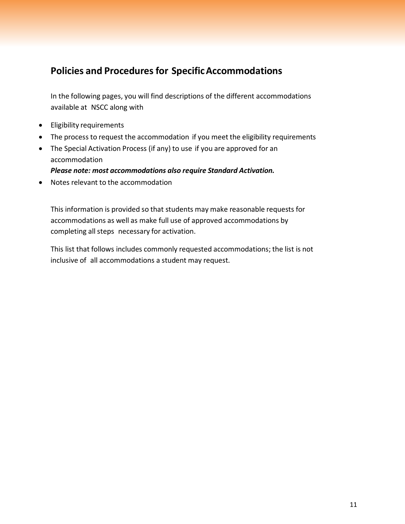## <span id="page-10-0"></span>**Policies and Proceduresfor SpecificAccommodations**

In the following pages, you will find descriptions of the different accommodations available at NSCC along with

- Eligibility requirements
- The process to request the accommodation if you meet the eligibility requirements
- The Special Activation Process (if any) to use if you are approved for an accommodation

*Please note: most accommodations also require Standard Activation.*

• Notes relevant to the accommodation

This information is provided so that students may make reasonable requests for accommodations as well as make full use of approved accommodations by completing all steps necessary for activation.

This list that follows includes commonly requested accommodations; the list is not inclusive of all accommodations a student may request.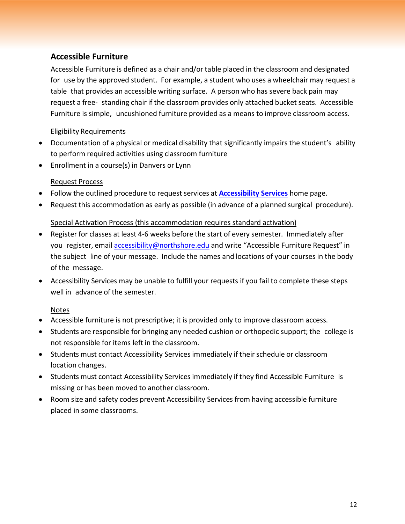## <span id="page-11-0"></span>**Accessible Furniture**

Accessible Furniture is defined as a chair and/or table placed in the classroom and designated for use by the approved student. For example, a student who uses a wheelchair may request a table that provides an accessible writing surface. A person who has severe back pain may request a free- standing chair if the classroom provides only attached bucket seats. Accessible Furniture is simple, uncushioned furniture provided as a means to improve classroom access.

#### Eligibility Requirements

- Documentation of a physical or medical disability that significantly impairs the student's ability to perform required activities using classroom furniture
- Enrollment in a course(s) in Danvers or Lynn

## Request Process

- Follow the outlined procedure to request services at **[Accessibility Services](http://www.northshore.edu/accessibility)** home page.
- Request this accommodation as early as possible (in advance of a planned surgical procedure).

#### Special Activation Process (this accommodation requires standard activation)

- Register for classes at least 4-6 weeks before the start of every semester. Immediately after you register, email [accessibility@northshore.edu](mailto:accessibility@northshore.edu) and write "Accessible Furniture Request" in the subject line of your message. Include the names and locations of your courses in the body of the message.
- Accessibility Services may be unable to fulfill your requests if you fail to complete these steps well in advance of the semester.

## Notes

- Accessible furniture is not prescriptive; it is provided only to improve classroom access.
- Students are responsible for bringing any needed cushion or orthopedic support; the college is not responsible for items left in the classroom.
- Students must contact Accessibility Services immediately if their schedule or classroom location changes.
- Students must contact Accessibility Services immediately if they find Accessible Furniture is missing or has been moved to another classroom.
- Room size and safety codes prevent Accessibility Services from having accessible furniture placed in some classrooms.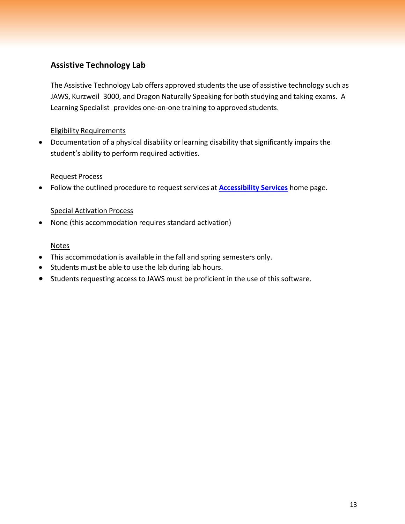## <span id="page-12-0"></span>**Assistive Technology Lab**

The Assistive Technology Lab offers approved students the use of assistive technology such as JAWS, Kurzweil 3000, and Dragon Naturally Speaking for both studying and taking exams. A Learning Specialist provides one-on-one training to approved students.

#### Eligibility Requirements

• Documentation of a physical disability or learning disability that significantly impairs the student's ability to perform required activities.

#### Request Process

• Follow the outlined procedure to request services at **[Accessibility Services](http://www.northshore.edu/accessibility)** home page.

#### Special Activation Process

• None (this accommodation requires standard activation)

#### Notes

- This accommodation is available in the fall and spring semesters only.
- Students must be able to use the lab during lab hours.
- Students requesting access to JAWS must be proficient in the use of this software.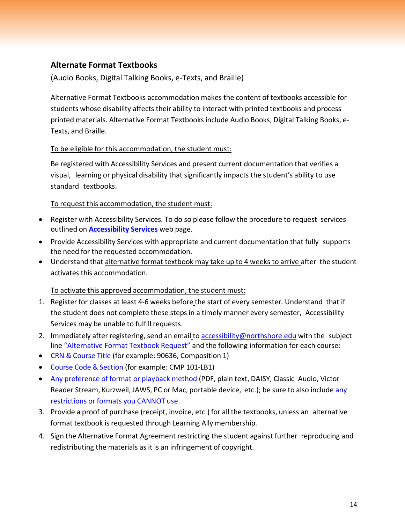## <span id="page-13-0"></span>**Alternate Format Textbooks**

(Audio Books, Digital Talking Books, e-Texts, and Braille)

Alternative Format Textbooks accommodation makes the content of textbooks accessible for students whose disability affects their ability to interact with printed textbooks and process printed materials. Alternative Format Textbooks include Audio Books, Digital Talking Books, e-Texts, and Braille.

#### To be eligible for this accommodation, the student must:

Be registered with Accessibility Services and present current documentation that verifies a visual, learning or physical disability that significantly impacts the student's ability to use standard textbooks.

#### To request this accommodation, the student must:

- Register with Accessibility Services. To do so please follow the procedure to request services outlined on **[Accessibility Services](http://www.northshore.edu/accessibility)** web page.
- Provide Accessibility Services with appropriate and current documentation that fully supports the need for the requested accommodation.
- Understand that alternative format textbook may take up to 4 weeks to arrive after the student activates this accommodation.

#### To activate this approved accommodation, the student must:

- 1. Register for classes at least 4-6 weeks before the start of every semester. Understand that if the student does not complete these steps in a timely manner every semester, Accessibility Services may be unable to fulfill requests.
- 2. Immediately after registering, send an email to [accessibility@northshore.edu](mailto:accessibility@northshore.edu) with the subject line "Alternative Format Textbook Request" and the following information for each course:
- CRN & Course Title (for example: 90636, Composition 1)
- Course Code & Section (for example: CMP 101-LB1)
- Any preference of format or playback method (PDF, plain text, DAISY, Classic Audio, Victor Reader Stream, Kurzweil, JAWS, PC or Mac, portable device, etc.); be sure to also include any restrictions or formats you CANNOT use.
- 3. Provide a proof of purchase (receipt, invoice, etc.) for all the textbooks, unless an alternative format textbook is requested through Learning Ally membership.
- 4. Sign the Alternative Format Agreement restricting the student against further reproducing and redistributing the materials as it is an infringement of copyright.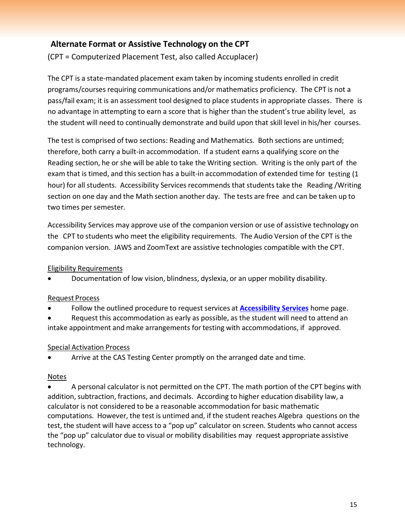## <span id="page-14-0"></span>**Alternate Format or Assistive Technology on the CPT**

(CPT = Computerized Placement Test, also called Accuplacer)

The CPT is a state-mandated placement exam taken by incoming students enrolled in credit programs/courses requiring communications and/or mathematics proficiency. The CPT is not a pass/fail exam; it is an assessment tool designed to place students in appropriate classes. There is no advantage in attempting to earn a score that is higher than the student's true ability level, as the student will need to continually demonstrate and build upon that skill level in his/her courses.

The test is comprised of two sections: Reading and Mathematics. Both sections are untimed; therefore, both carry a built-in accommodation. If a student earns a qualifying score on the Reading section, he or she will be able to take the Writing section. Writing is the only part of the exam that is timed, and this section has a built-in accommodation of extended time for testing (1 hour) for all students. Accessibility Services recommends that students take the Reading /Writing section on one day and the Math section another day. The tests are free and can be taken up to two times per semester.

Accessibility Services may approve use of the companion version or use of assistive technology on the CPT to students who meet the eligibility requirements. The Audio Version of the CPT is the companion version. JAWS and ZoomText are assistive technologies compatible with the CPT.

#### Eligibility Requirements

• Documentation of low vision, blindness, dyslexia, or an upper mobility disability.

#### Request Process

- Follow the outlined procedure to request services at **[Accessibility Services](http://www.northshore.edu/accessibility)** home page.
- Request this accommodation as early as possible, as the student will need to attend an intake appointment and make arrangements for testing with accommodations, if approved.

## Special Activation Process

• Arrive at the CAS Testing Center promptly on the arranged date and time.

## Notes

• A personal calculator is not permitted on the CPT. The math portion of the CPT begins with addition, subtraction, fractions, and decimals. According to higher education disability law, a calculator is not considered to be a reasonable accommodation for basic mathematic computations. However, the test is untimed and, if the student reaches Algebra questions on the test, the student will have access to a "pop up" calculator on screen. Students who cannot access the "pop up" calculator due to visual or mobility disabilities may request appropriate assistive technology.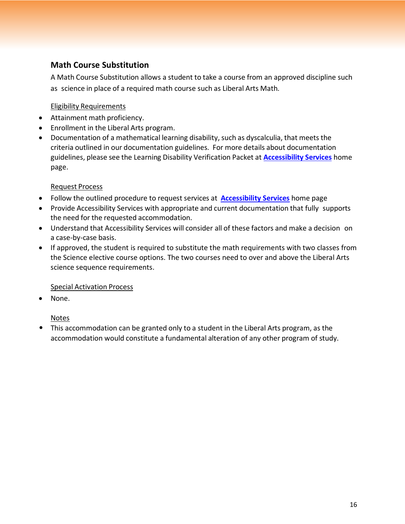## <span id="page-15-0"></span>**Math Course Substitution**

A Math Course Substitution allows a student to take a course from an approved discipline such as science in place of a required math course such as Liberal Arts Math.

#### Eligibility Requirements

- Attainment math proficiency.
- Enrollment in the Liberal Arts program.
- Documentation of a mathematical learning disability, such as dyscalculia, that meets the criteria outlined in our documentation guidelines. For more details about documentation guidelines, please see the Learning Disability Verification Packet at **[Accessibility Services](http://www.northshore.edu/accessibility)** home page.

#### Request Process

- Follow the outlined procedure to request services at **[Accessibility Services](http://www.northshore.edu/accessibility)** home page
- Provide Accessibility Services with appropriate and current documentation that fully supports the need for the requested accommodation.
- Understand that Accessibility Services will consider all of these factors and make a decision on a case-by-case basis.
- If approved, the student is required to substitute the math requirements with two classes from the Science elective course options. The two courses need to over and above the Liberal Arts science sequence requirements.

#### Special Activation Process

• None.

#### Notes

• This accommodation can be granted only to a student in the Liberal Arts program, as the accommodation would constitute a fundamental alteration of any other program of study.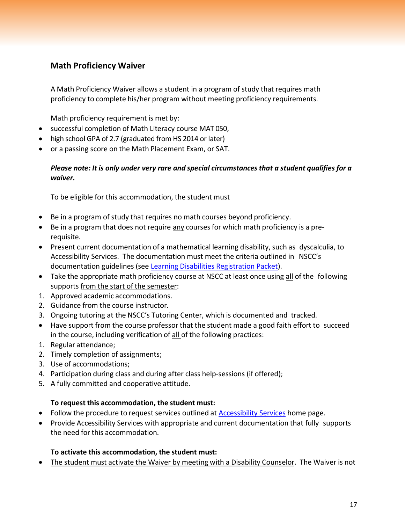## <span id="page-16-0"></span>**Math Proficiency Waiver**

A Math Proficiency Waiver allows a student in a program of study that requires math proficiency to complete his/her program without meeting proficiency requirements.

Math proficiency requirement is met by:

- successful completion of Math Literacy course MAT 050,
- high school GPA of 2.7 (graduated from HS 2014 or later)
- or a passing score on the Math Placement Exam, or SAT.

#### *Please note: It is only under very rare and special circumstances that a student qualifies for a waiver.*

#### To be eligible for this accommodation, the student must

- Be in a program of study that requires no math courses beyond proficiency.
- Be in a program that does not require any courses for which math proficiency is a prerequisite.
- Present current documentation of a mathematical learning disability, such as dyscalculia, to Accessibility Services. The documentation must meet the criteria outlined in NSCC's documentation guidelines (see Learning Disabilities [Registration](https://www.northshore.edu/accessibility/files/ld-packet.pdf) Packet).
- Take the appropriate math proficiency course at NSCC at least once using all of the following supports from the start of the semester:
- 1. Approved academic accommodations.
- 2. Guidance from the course instructor.
- 3. Ongoing tutoring at the NSCC's Tutoring Center, which is documented and tracked.
- Have support from the course professor that the student made a good faith effort to succeed in the course, including verification of all of the following practices:
- 1. Regular attendance;
- 2. Timely completion of assignments;
- 3. Use of accommodations;
- 4. Participation during class and during after class help-sessions (if offered);
- 5. A fully committed and cooperative attitude.

#### **To request this accommodation, the student must:**

- Follow the procedure to request services outlined at [Accessibility Services](http://www.northshore.edu/accessibility) home page.
- Provide Accessibility Services with appropriate and current documentation that fully supports the need for this accommodation.

#### **To activate this accommodation, the student must:**

• The student must activate the Waiver by meeting with a Disability Counselor. The Waiver is not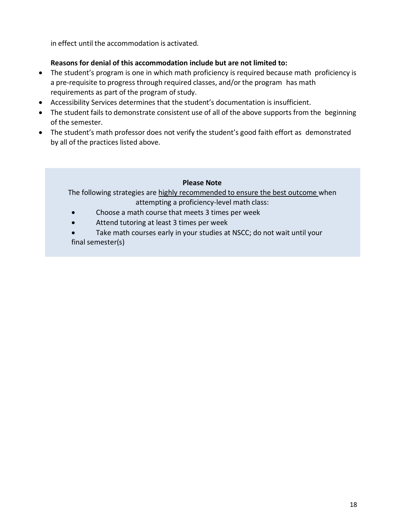in effect until the accommodation is activated.

#### **Reasons for denial of this accommodation include but are not limited to:**

- The student's program is one in which math proficiency is required because math proficiency is a pre-requisite to progress through required classes, and/or the program has math requirements as part of the program of study.
- Accessibility Services determines that the student's documentation is insufficient.
- The student fails to demonstrate consistent use of all of the above supports from the beginning of the semester.
- The student's math professor does not verify the student's good faith effort as demonstrated by all of the practices listed above.

#### **Please Note**

The following strategies are highly recommended to ensure the best outcome when attempting a proficiency-level math class:

- Choose a math course that meets 3 times per week
- Attend tutoring at least 3 times per week
- Take math courses early in your studies at NSCC; do not wait until your final semester(s)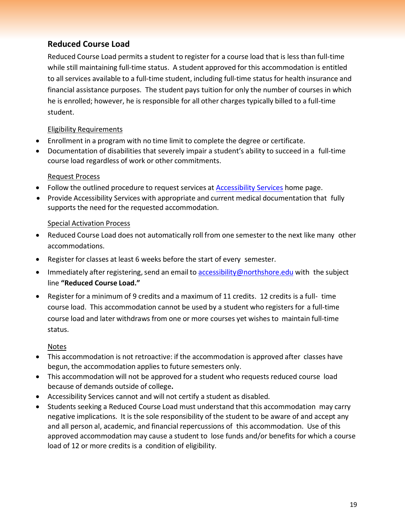## <span id="page-18-0"></span>**Reduced Course Load**

Reduced Course Load permits a student to register for a course load that is less than full-time while still maintaining full-time status. A student approved for this accommodation is entitled to all services available to a full-time student, including full-time status for health insurance and financial assistance purposes. The student pays tuition for only the number of courses in which he is enrolled; however, he is responsible for all other charges typically billed to a full-time student.

#### Eligibility Requirements

- Enrollment in a program with no time limit to complete the degree or certificate.
- Documentation of disabilities that severely impair a student's ability to succeed in a full-time course load regardless of work or other commitments.

#### Request Process

- Follow the outlined procedure to request services at **[Accessibility Services](http://www.northshore.edu/accessibility)** home page.
- Provide Accessibility Services with appropriate and current medical documentation that fully supports the need for the requested accommodation.

#### Special Activation Process

- Reduced Course Load does not automatically roll from one semester to the next like many other accommodations.
- Register for classes at least 6 weeks before the start of every semester.
- Immediately after registering, send an email to [accessibility@northshore.edu](mailto:accessibility@northshore.edu) with the subject line **"Reduced Course Load."**
- Register for a minimum of 9 credits and a maximum of 11 credits. 12 credits is a full- time course load. This accommodation cannot be used by a student who registers for a full-time course load and later withdraws from one or more courses yet wishes to maintain full-time status.

#### Notes

- This accommodation is not retroactive: if the accommodation is approved after classes have begun, the accommodation applies to future semesters only.
- This accommodation will not be approved for a student who requests reduced course load because of demands outside of college**.**
- Accessibility Services cannot and will not certify a student as disabled.
- Students seeking a Reduced Course Load must understand that this accommodation may carry negative implications. It is the sole responsibility of the student to be aware of and accept any and all person al, academic, and financial repercussions of this accommodation. Use of this approved accommodation may cause a student to lose funds and/or benefits for which a course load of 12 or more credits is a condition of eligibility.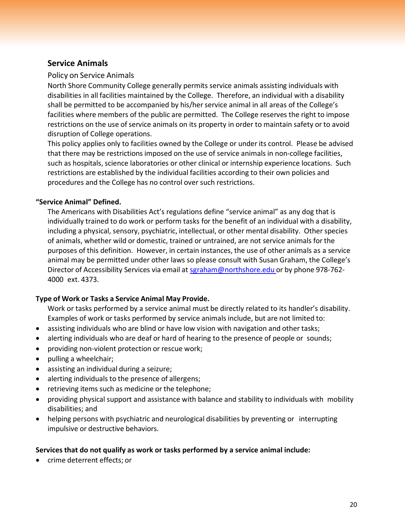## <span id="page-19-0"></span>**Service Animals**

#### Policy on Service Animals

North Shore Community College generally permits service animals assisting individuals with disabilities in all facilities maintained by the College. Therefore, an individual with a disability shall be permitted to be accompanied by his/her service animal in all areas of the College's facilities where members of the public are permitted. The College reserves the right to impose restrictions on the use of service animals on its property in order to maintain safety or to avoid disruption of College operations.

This policy applies only to facilities owned by the College or under its control. Please be advised that there may be restrictions imposed on the use of service animals in non-college facilities, such as hospitals, science laboratories or other clinical or internship experience locations. Such restrictions are established by the individual facilities according to their own policies and procedures and the College has no control over such restrictions.

#### **"Service Animal" Defined.**

The Americans with Disabilities Act's regulations define "service animal" as any dog that is individually trained to do work or perform tasks for the benefit of an individual with a disability, including a physical, sensory, psychiatric, intellectual, or other mental disability. Other species of animals, whether wild or domestic, trained or untrained, are not service animals for the purposes of this definition. However, in certain instances, the use of other animals as a service animal may be permitted under other laws so please consult with Susan Graham, the College's Director of Accessibility Services via email at [sgraham@northshore.edu](mailto:sgraham@northshore.edu) or by phone 978-762- 4000 ext. 4373.

## **Type of Work or Tasks a Service Animal May Provide.**

Work or tasks performed by a service animal must be directly related to its handler's disability. Examples of work or tasks performed by service animals include, but are not limited to:

- assisting individuals who are blind or have low vision with navigation and other tasks;
- alerting individuals who are deaf or hard of hearing to the presence of people or sounds;
- providing non-violent protection or rescue work;
- pulling a wheelchair;
- assisting an individual during a seizure;
- alerting individuals to the presence of allergens;
- retrieving items such as medicine or the telephone;
- providing physical support and assistance with balance and stability to individuals with mobility disabilities; and
- helping persons with psychiatric and neurological disabilities by preventing or interrupting impulsive or destructive behaviors.

#### **Services that do not qualify as work or tasks performed by a service animal include:**

• crime deterrent effects; or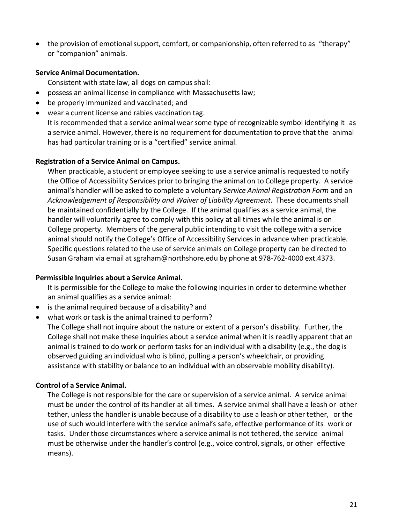• the provision of emotional support, comfort, or companionship, often referred to as "therapy" or "companion" animals.

#### **Service Animal Documentation.**

Consistent with state law, all dogs on campus shall:

- possess an animal license in compliance with Massachusetts law;
- be properly immunized and vaccinated; and
- wear a current license and rabies vaccination tag. It is recommended that a service animal wearsome type of recognizable symbol identifying it as a service animal. However, there is no requirement for documentation to prove that the animal has had particular training or is a "certified" service animal.

#### **Registration of a Service Animal on Campus.**

When practicable, a student or employee seeking to use a service animal is requested to notify the Office of Accessibility Services prior to bringing the animal on to College property. A service animal's handler will be asked to complete a voluntary *Service Animal Registration Form* and an *Acknowledgement of Responsibility and Waiver of Liability Agreement*. These documents shall be maintained confidentially by the College. If the animal qualifies as a service animal, the handler will voluntarily agree to comply with this policy at all times while the animal is on College property. Members of the general public intending to visit the college with a service animal should notify the College's Office of Accessibility Services in advance when practicable. Specific questions related to the use of service animals on College property can be directed to Susan Graham via email at [sgraham@northshore.edu](mailto:sgraham@northshore.edu) by phone at 978-762-4000 ext.4373.

#### **Permissible Inquiries about a Service Animal.**

It is permissible for the College to make the following inquiries in order to determine whether an animal qualifies as a service animal:

- is the animal required because of a disability? and
- what work or task is the animal trained to perform?

The College shall not inquire about the nature or extent of a person's disability. Further, the College shall not make these inquiries about a service animal when it is readily apparent that an animal is trained to do work or perform tasks for an individual with a disability (e.g., the dog is observed guiding an individual who is blind, pulling a person's wheelchair, or providing assistance with stability or balance to an individual with an observable mobility disability).

#### **Control of a Service Animal.**

The College is not responsible for the care or supervision of a service animal. A service animal must be under the control of its handler at all times. A service animal shall have a leash or other tether, unless the handler is unable because of a disability to use a leash or other tether, or the use of such would interfere with the service animal's safe, effective performance of its work or tasks. Under those circumstances where a service animal is not tethered, the service animal must be otherwise under the handler's control (e.g., voice control, signals, or other effective means).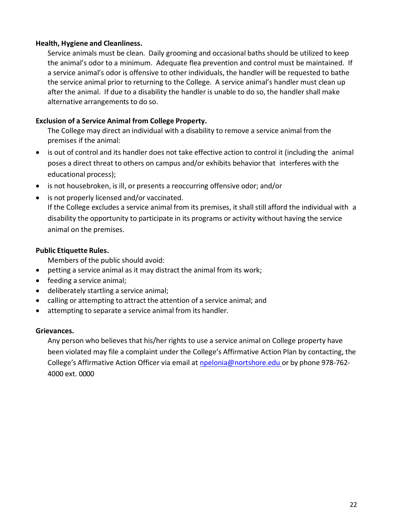#### **Health, Hygiene and Cleanliness.**

Service animals must be clean. Daily grooming and occasional baths should be utilized to keep the animal's odor to a minimum. Adequate flea prevention and control must be maintained. If a service animal's odor is offensive to other individuals, the handler will be requested to bathe the service animal prior to returning to the College. A service animal's handler must clean up after the animal. If due to a disability the handler is unable to do so, the handlershall make alternative arrangements to do so.

#### **Exclusion of a Service Animal from College Property.**

The College may direct an individual with a disability to remove a service animal from the premises if the animal:

- is out of control and its handler does not take effective action to control it (including the animal poses a direct threat to others on campus and/or exhibits behavior that interferes with the educational process);
- is not housebroken, is ill, or presents a reoccurring offensive odor; and/or
- is not properly licensed and/or vaccinated. If the College excludes a service animal from its premises, it shall still afford the individual with a disability the opportunity to participate in its programs or activity without having the service animal on the premises.

#### **Public Etiquette Rules.**

Members of the public should avoid:

- petting a service animal as it may distract the animal from its work;
- feeding a service animal;
- deliberately startling a service animal;
- calling or attempting to attract the attention of a service animal; and
- attempting to separate a service animal from its handler.

#### **Grievances.**

Any person who believes that his/her rights to use a service animal on College property have been violated may file a complaint under the College's Affirmative Action Plan by contacting, the College's Affirmative Action Officer via email at [npelonia@nortshore.edu](mailto:npelonia@nortshore.edu) or by phone 978-762- 4000 ext. 0000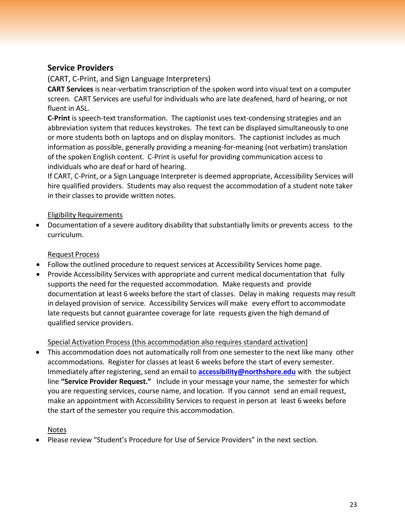## <span id="page-22-0"></span>**Service Providers**

(CART, C-Print, and Sign Language Interpreters)

**CART Services** is near-verbatim transcription of the spoken word into visual text on a computer screen. CART Services are useful for individuals who are late deafened, hard of hearing, or not fluent in ASL.

**C-Print** is speech-text transformation. The captionist uses text-condensing strategies and an abbreviation system that reduces keystrokes. The text can be displayed simultaneously to one or more students both on laptops and on display monitors. The captionist includes as much information as possible, generally providing a meaning-for-meaning (not verbatim) translation of the spoken English content. C-Print is useful for providing communication access to individuals who are deaf or hard of hearing.

If CART, C-Print, or a Sign Language Interpreter is deemed appropriate, Accessibility Services will hire qualified providers. Students may also request the accommodation of a student note taker in their classes to provide written notes.

#### Eligibility Requirements

• Documentation of a severe auditory disability that substantially limits or prevents access to the curriculum.

#### Request Process

- Follow the outlined procedure to request services at [Accessibility Services](http://www.northshore.edu/disability) home page.
- Provide Accessibility Services with appropriate and current medical documentation that fully supports the need for the requested accommodation. Make requests and provide documentation at least 6 weeks before the start of classes. Delay in making requests may result in delayed provision of service. Accessibility Services will make every effort to accommodate late requests but cannot guarantee coverage for late requests given the high demand of qualified service providers.

#### Special Activation Process (this accommodation also requires standard activation)

• This accommodation does not automatically roll from one semester to the next like many other accommodations. Register for classes at least 6 weeks before the start of every semester. Immediately after registering, send an email to **[accessibility@northshore.edu](mailto:accessibility@northshore.edu)** with the subject line **"Service Provider Request."** Include in your message your name, the semester for which you are requesting services, course name, and location. If you cannot send an email request, make an appointment with Accessibility Services to request in person at least 6 weeks before the start of the semester you require this accommodation.

#### Notes

• Please review "Student's Procedure for Use of Service Providers" in the next section.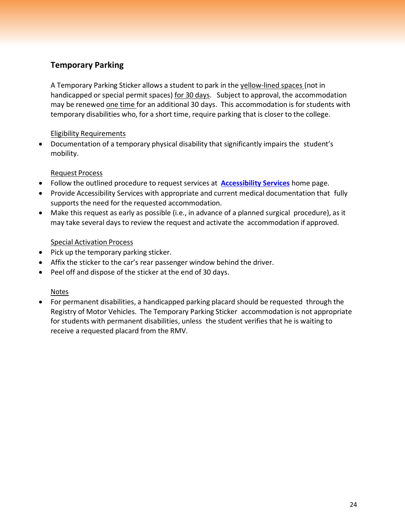## <span id="page-23-0"></span>**Temporary Parking**

A Temporary Parking Sticker allows a student to park in the yellow-lined spaces (not in handicapped or special permit spaces) for 30 days. Subject to approval, the accommodation may be renewed one time for an additional 30 days. This accommodation is forstudents with temporary disabilities who, for a short time, require parking that is closer to the college.

#### Eligibility Requirements

• Documentation of a temporary physical disability that significantly impairs the student's mobility.

#### Request Process

- Follow the outlined procedure to request services at **[Accessibility Services](http://www.northshore.edu/accessibility)** home page.
- Provide Accessibility Services with appropriate and current medical documentation that fully supports the need for the requested accommodation.
- Make this request as early as possible (i.e., in advance of a planned surgical procedure), as it may take several days to review the request and activate the accommodation if approved.

#### Special Activation Process

- Pick up the temporary parking sticker.
- Affix the sticker to the car's rear passenger window behind the driver.
- Peel off and dispose of the sticker at the end of 30 days.

#### Notes

• For permanent disabilities, a handicapped parking placard should be requested through the Registry of Motor Vehicles. The Temporary Parking Sticker accommodation is not appropriate for students with permanent disabilities, unless the student verifies that he is waiting to receive a requested placard from the RMV.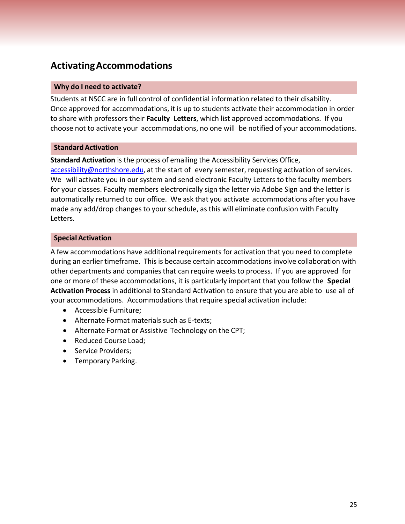## <span id="page-24-0"></span>**ActivatingAccommodations**

#### **Why do I need to activate?**

Students at NSCC are in full control of confidential information related to their disability. Once approved for accommodations, it is up to students activate their accommodation in order to share with professors their **Faculty Letters**, which list approved accommodations. If you choose not to activate your accommodations, no one will be notified of your accommodations.

#### **Standard Activation**

**Standard Activation** is the process of emailing the Accessibility Services Office, [accessibility@northshore.edu,](mailto:accessibility@northshore.edu) at the start of every semester, requesting activation of services. We will activate you in our system and send electronic Faculty Letters to the faculty members for your classes. Faculty members electronically sign the letter via Adobe Sign and the letter is automatically returned to our office. We ask that you activate accommodations after you have made any add/drop changes to your schedule, as this will eliminate confusion with Faculty Letters.

#### **Special Activation**

A few accommodations have additional requirements for activation that you need to complete during an earlier timeframe. This is because certain accommodations involve collaboration with other departments and companiesthat can require weeks to process. If you are approved for one or more of these accommodations, it is particularly important that you follow the **Special Activation Process** in additional to Standard Activation to ensure that you are able to use all of your accommodations. Accommodations that require special activation include:

- Accessible Furniture;
- Alternate Format materials such as E-texts;
- Alternate Format or Assistive Technology on the CPT;
- Reduced Course Load;
- Service Providers;
- Temporary Parking.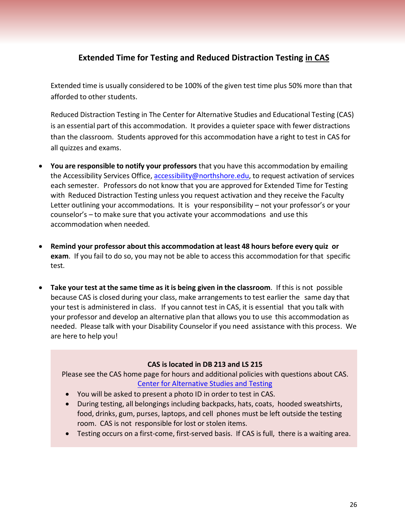## **Extended Time for Testing and Reduced Distraction Testing in CAS**

<span id="page-25-0"></span>Extended time is usually considered to be 100% of the given test time plus 50% more than that afforded to other students.

Reduced Distraction Testing in The Center for Alternative Studies and Educational Testing (CAS) is an essential part of this accommodation. It provides a quieter space with fewer distractions than the classroom. Students approved for this accommodation have a right to test in CAS for all quizzes and exams.

- **You are responsible to notify your professors** that you have this accommodation by emailing the Accessibility Services Office, [accessibility@northshore.edu,](mailto:accessibility@northshore.edu) to request activation of services each semester. Professors do not know that you are approved for Extended Time for Testing with Reduced Distraction Testing unless you request activation and they receive the Faculty Letter outlining your accommodations. It is your responsibility - not your professor's or your counselor's – to make sure that you activate your accommodations and use this accommodation when needed.
- **Remind your professor about this accommodation at least 48 hours before every quiz or exam**. If you fail to do so, you may not be able to access this accommodation for that specific test.
- **Take your test at the same time as it is being given in the classroom**. If this is not possible because CAS is closed during your class, make arrangements to test earlier the same day that your test is administered in class. If you cannot test in CAS, it is essential that you talk with your professor and develop an alternative plan that allows you to use this accommodation as needed. Please talk with your Disability Counselorif you need assistance with this process. We are here to help you!

#### **CAS is located in DB 213 and LS 215**

Please see the CAS home page for hours and additional policies with questions about CAS. [Center for Alternative Studies and Testing](https://www.northshore.edu/cas/)

- You will be asked to present a photo ID in order to test in CAS.
- During testing, all belongings including backpacks, hats, coats, hooded sweatshirts, food, drinks, gum, purses, laptops, and cell phones must be left outside the testing room. CAS is not responsible for lost or stolen items.
- Testing occurs on a first-come, first-served basis. If CAS is full, there is a waiting area.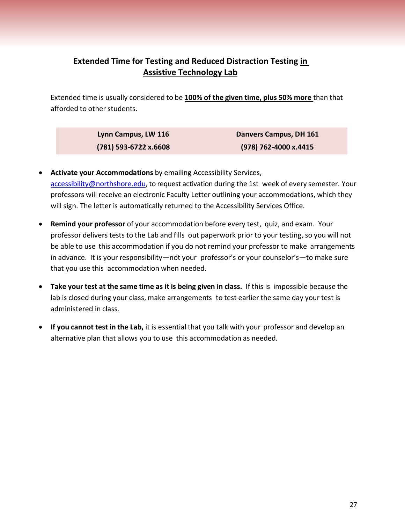## **Extended Time for Testing and Reduced Distraction Testing in Assistive Technology Lab**

<span id="page-26-0"></span>Extended time is usually considered to be **100% of the given time, plus 50% more** than that afforded to other students.

| Lynn Campus, LW 116     | Danvers Campus, DH 161 |
|-------------------------|------------------------|
| $(781)$ 593-6722 x.6608 | (978) 762-4000 x.4415  |

- **Activate your Accommodations** by emailing Accessibility Services, [accessibility@northshore.edu,](mailto:accessibility@northshore.edu) to request activation during the 1st week of every semester. Your professors will receive an electronic Faculty Letter outlining your accommodations, which they will sign. The letter is automatically returned to the Accessibility Services Office.
- **Remind your professor** of your accommodation before every test, quiz, and exam. Your professor delivers tests to the Lab and fills out paperwork prior to your testing, so you will not be able to use this accommodation if you do not remind your professor to make arrangements in advance. It is your responsibility—not your professor's or your counselor's—to make sure that you use this accommodation when needed.
- **Take your test at the same time as it is being given in class.** If this is impossible because the lab is closed during your class, make arrangements to test earlier the same day your test is administered in class.
- **If you cannot test in the Lab,** it is essential that you talk with your professor and develop an alternative plan that allows you to use this accommodation as needed.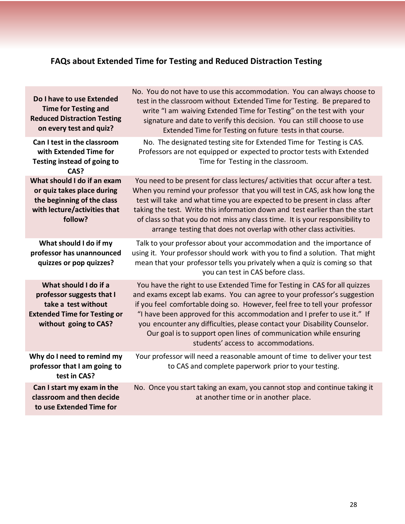# **FAQs about Extended Time for Testing and Reduced Distraction Testing**

<span id="page-27-0"></span>

| Do I have to use Extended<br><b>Time for Testing and</b><br><b>Reduced Distraction Testing</b><br>on every test and quiz?                 | No. You do not have to use this accommodation. You can always choose to<br>test in the classroom without Extended Time for Testing. Be prepared to<br>write "I am waiving Extended Time for Testing" on the test with your<br>signature and date to verify this decision. You can still choose to use<br>Extended Time for Testing on future tests in that course.                                                                                                                                         |
|-------------------------------------------------------------------------------------------------------------------------------------------|------------------------------------------------------------------------------------------------------------------------------------------------------------------------------------------------------------------------------------------------------------------------------------------------------------------------------------------------------------------------------------------------------------------------------------------------------------------------------------------------------------|
| Can I test in the classroom<br>with Extended Time for<br>Testing instead of going to<br>CAS?                                              | No. The designated testing site for Extended Time for Testing is CAS.<br>Professors are not equipped or expected to proctor tests with Extended<br>Time for Testing in the classroom.                                                                                                                                                                                                                                                                                                                      |
| What should I do if an exam<br>or quiz takes place during<br>the beginning of the class<br>with lecture/activities that<br>follow?        | You need to be present for class lectures/ activities that occur after a test.<br>When you remind your professor that you will test in CAS, ask how long the<br>test will take and what time you are expected to be present in class after<br>taking the test. Write this information down and test earlier than the start<br>of class so that you do not miss any class time. It is your responsibility to<br>arrange testing that does not overlap with other class activities.                          |
| What should I do if my<br>professor has unannounced<br>quizzes or pop quizzes?                                                            | Talk to your professor about your accommodation and the importance of<br>using it. Your professor should work with you to find a solution. That might<br>mean that your professor tells you privately when a quiz is coming so that<br>you can test in CAS before class.                                                                                                                                                                                                                                   |
| What should I do if a<br>professor suggests that I<br>take a test without<br><b>Extended Time for Testing or</b><br>without going to CAS? | You have the right to use Extended Time for Testing in CAS for all quizzes<br>and exams except lab exams. You can agree to your professor's suggestion<br>if you feel comfortable doing so. However, feel free to tell your professor<br>"I have been approved for this accommodation and I prefer to use it." If<br>you encounter any difficulties, please contact your Disability Counselor.<br>Our goal is to support open lines of communication while ensuring<br>students' access to accommodations. |
| Why do I need to remind my<br>professor that I am going to<br>test in CAS?                                                                | Your professor will need a reasonable amount of time to deliver your test<br>to CAS and complete paperwork prior to your testing.                                                                                                                                                                                                                                                                                                                                                                          |
| Can I start my exam in the<br>classroom and then decide<br>to use Extended Time for                                                       | No. Once you start taking an exam, you cannot stop and continue taking it<br>at another time or in another place.                                                                                                                                                                                                                                                                                                                                                                                          |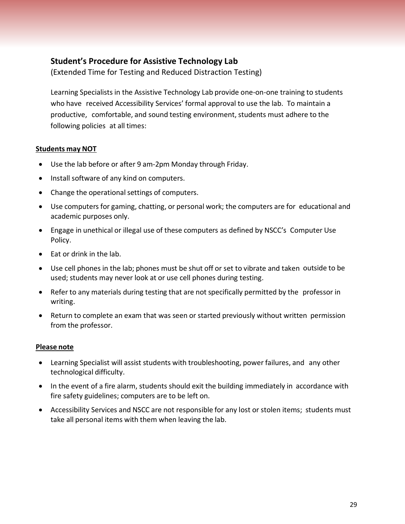## <span id="page-28-0"></span>**Student's Procedure for Assistive Technology Lab**

(Extended Time for Testing and Reduced Distraction Testing)

Learning Specialists in the Assistive Technology Lab provide one-on-one training to students who have received Accessibility Services' formal approval to use the lab. To maintain a productive, comfortable, and sound testing environment, students must adhere to the following policies at all times:

#### **Students may NOT**

- Use the lab before or after 9 am-2pm Monday through Friday.
- Install software of any kind on computers.
- Change the operational settings of computers.
- Use computers for gaming, chatting, or personal work; the computers are for educational and academic purposes only.
- Engage in unethical or illegal use of these computers as defined by NSCC's Computer Use Policy.
- Eat or drink in the lab.
- Use cell phones in the lab; phones must be shut off or set to vibrate and taken outside to be used; students may never look at or use cell phones during testing.
- Refer to any materials during testing that are not specifically permitted by the professor in writing.
- Return to complete an exam that was seen or started previously without written permission from the professor.

#### **Please note**

- Learning Specialist will assist students with troubleshooting, power failures, and any other technological difficulty.
- In the event of a fire alarm, students should exit the building immediately in accordance with fire safety guidelines; computers are to be left on.
- Accessibility Services and NSCC are not responsible for any lost or stolen items; students must take all personal items with them when leaving the lab.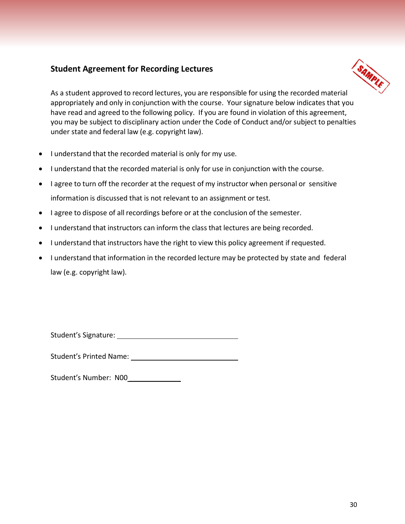## <span id="page-29-0"></span>**Student Agreement for Recording Lectures**



As a student approved to record lectures, you are responsible for using the recorded material appropriately and only in conjunction with the course. Yoursignature below indicates that you have read and agreed to the following policy. If you are found in violation of this agreement, you may be subject to disciplinary action under the Code of Conduct and/or subject to penalties under state and federal law (e.g. copyright law).

- I understand that the recorded material is only for my use.
- I understand that the recorded material is only for use in conjunction with the course.
- I agree to turn off the recorder at the request of my instructor when personal or sensitive information is discussed that is not relevant to an assignment or test.
- I agree to dispose of all recordings before or at the conclusion of the semester.
- I understand that instructors can inform the class that lectures are being recorded.
- I understand that instructors have the right to view this policy agreement if requested.
- I understand that information in the recorded lecture may be protected by state and federal law (e.g. copyright law).

Student's Signature:

Student's Printed Name:

Student's Number: N00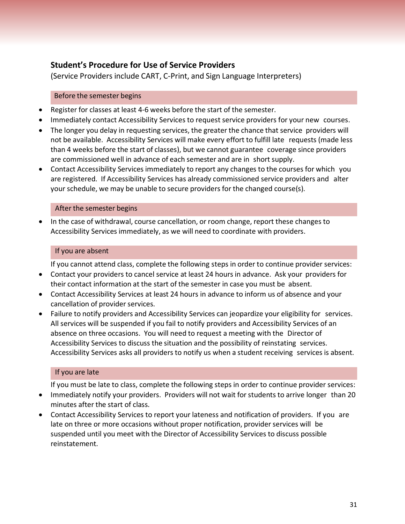## <span id="page-30-0"></span>**Student's Procedure for Use of Service Providers**

(Service Providers include CART, C-Print, and Sign Language Interpreters)

#### Before the semester begins

- Register for classes at least 4-6 weeks before the start of the semester.
- Immediately contact Accessibility Services to request service providers for your new courses.
- The longer you delay in requesting services, the greater the chance that service providers will not be available. Accessibility Services will make every effort to fulfill late requests (made less than 4 weeks before the start of classes), but we cannot guarantee coverage since providers are commissioned well in advance of each semester and are in short supply.
- Contact Accessibility Services immediately to report any changes to the courses for which you are registered. If Accessibility Services has already commissioned service providers and alter your schedule, we may be unable to secure providers for the changed course(s).

#### After the semester begins

• In the case of withdrawal, course cancellation, or room change, report these changes to Accessibility Services immediately, as we will need to coordinate with providers.

#### If you are absent

If you cannot attend class, complete the following steps in order to continue provider services:

- Contact your providers to cancel service at least 24 hours in advance. Ask your providers for their contact information at the start of the semester in case you must be absent.
- Contact Accessibility Services at least 24 hours in advance to inform us of absence and your cancellation of provider services.
- Failure to notify providers and Accessibility Services can jeopardize your eligibility for services. All services will be suspended if you fail to notify providers and Accessibility Services of an absence on three occasions. You will need to request a meeting with the Director of Accessibility Services to discuss the situation and the possibility of reinstating services. Accessibility Services asks all providers to notify us when a student receiving services is absent.

#### If you are late

If you must be late to class, complete the following steps in order to continue provider services:

- Immediately notify your providers. Providers will not wait for students to arrive longer than 20 minutes after the start of class.
- Contact Accessibility Services to report your lateness and notification of providers. If you are late on three or more occasions without proper notification, provider services will be suspended until you meet with the Director of Accessibility Services to discuss possible reinstatement.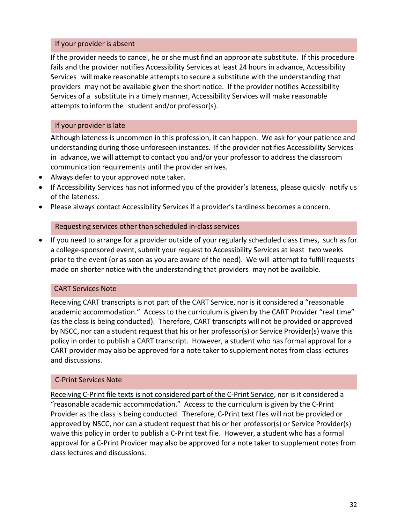#### If your provider is absent

If the provider needs to cancel, he orshe must find an appropriate substitute. If this procedure fails and the provider notifies Accessibility Services at least 24 hours in advance, Accessibility Services will make reasonable attempts to secure a substitute with the understanding that providers may not be available given the short notice. If the provider notifies Accessibility Services of a substitute in a timely manner, Accessibility Services will make reasonable attempts to inform the student and/or professor(s).

#### If your provider is late

Although lateness is uncommon in this profession, it can happen. We ask for your patience and understanding during those unforeseen instances. If the provider notifies Accessibility Services in advance, we will attempt to contact you and/or your professor to address the classroom communication requirements until the provider arrives.

- Always defer to your approved note taker.
- If Accessibility Services has not informed you of the provider's lateness, please quickly notify us of the lateness.
- Please always contact Accessibility Services if a provider's tardiness becomes a concern.

#### Requesting services other than scheduled in-class services

• If you need to arrange for a provider outside of your regularly scheduled class times, such as for a college-sponsored event, submit your request to Accessibility Services at least two weeks prior to the event (or as soon as you are aware of the need). We will attempt to fulfill requests made on shorter notice with the understanding that providers may not be available.

#### CART Services Note

Receiving CART transcripts is not part of the CART Service, nor is it considered a "reasonable academic accommodation." Access to the curriculum is given by the CART Provider "real time" (as the class is being conducted). Therefore, CART transcripts will not be provided or approved by NSCC, nor can a student request that his or her professor(s) or Service Provider(s) waive this policy in order to publish a CART transcript. However, a student who has formal approval for a CART provider may also be approved for a note taker to supplement notes from class lectures and discussions.

#### C-Print Services Note

Receiving C-Print file texts is not considered part of the C-Print Service, nor is it considered a "reasonable academic accommodation." Access to the curriculum is given by the C-Print Provider as the class is being conducted. Therefore, C-Print text files will not be provided or approved by NSCC, nor can a student request that his or her professor(s) or Service Provider(s) waive this policy in order to publish a C-Print text file. However, a student who has a formal approval for a C-Print Provider may also be approved for a note taker to supplement notes from class lectures and discussions.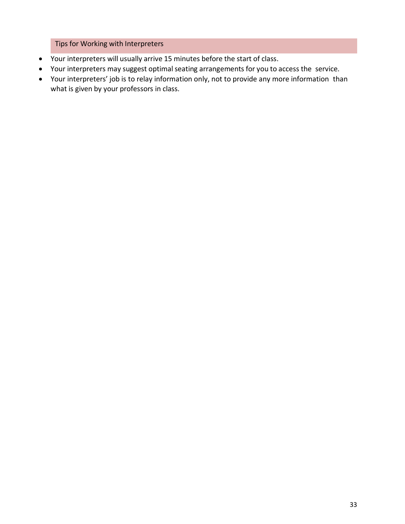Tips for Working with Interpreters

- Your interpreters will usually arrive 15 minutes before the start of class.
- Your interpreters may suggest optimal seating arrangements for you to access the service.
- Your interpreters' job is to relay information only, not to provide any more information than what is given by your professors in class.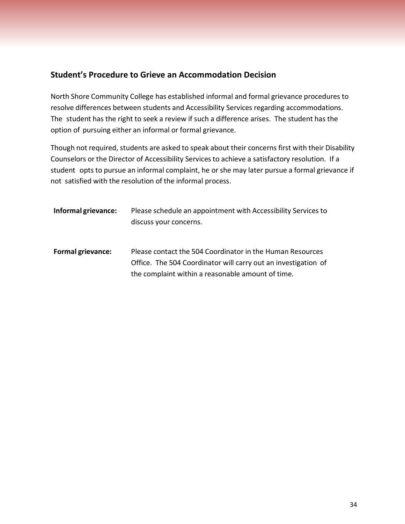## <span id="page-33-0"></span>**Student's Procedure to Grieve an Accommodation Decision**

North Shore Community College has established informal and formal grievance procedures to resolve differences between students and Accessibility Services regarding accommodations. The student has the right to seek a review if such a difference arises. The student has the option of pursuing either an informal or formal grievance.

Though not required, students are asked to speak about their concerns first with their Disability Counselors or the Director of Accessibility Servicesto achieve a satisfactory resolution. If a student opts to pursue an informal complaint, he or she may later pursue a formal grievance if not satisfied with the resolution of the informal process.

| Informal grievance:      | Please schedule an appointment with Accessibility Services to<br>discuss your concerns.                                                                                          |
|--------------------------|----------------------------------------------------------------------------------------------------------------------------------------------------------------------------------|
| <b>Formal grievance:</b> | Please contact the 504 Coordinator in the Human Resources<br>Office. The 504 Coordinator will carry out an investigation of<br>the complaint within a reasonable amount of time. |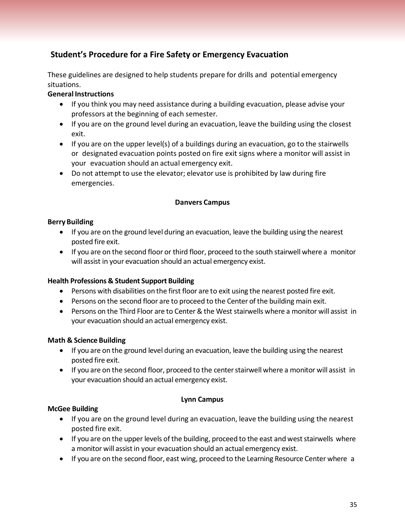## <span id="page-34-0"></span>**Student's Procedure for a Fire Safety or Emergency Evacuation**

These guidelines are designed to help students prepare for drills and potential emergency situations.

#### **General Instructions**

- If you think you may need assistance during a building evacuation, please advise your professors at the beginning of each semester.
- If you are on the ground level during an evacuation, leave the building using the closest exit.
- If you are on the upper level(s) of a buildings during an evacuation, go to the stairwells or designated evacuation points posted on fire exit signs where a monitor will assist in your evacuation should an actual emergency exit.
- Do not attempt to use the elevator; elevator use is prohibited by law during fire emergencies.

#### **Danvers Campus**

#### **Berry Building**

- If you are on the ground level during an evacuation, leave the building using the nearest posted fire exit.
- If you are on the second floor or third floor, proceed to the south stairwell where a monitor will assist in your evacuation should an actual emergency exist.

#### **Health Professions & Student Support Building**

- Persons with disabilities on the first floor are to exit using the nearest posted fire exit.
- Persons on the second floor are to proceed to the Center of the building main exit.
- Persons on the Third Floor are to Center & the West stairwells where a monitor will assist in your evacuation should an actual emergency exist.

#### **Math & Science Building**

- If you are on the ground level during an evacuation, leave the building using the nearest posted fire exit.
- If you are on the second floor, proceed to the center stairwell where a monitor will assist in your evacuation should an actual emergency exist.

#### **Lynn Campus**

#### **McGee Building**

- If you are on the ground level during an evacuation, leave the building using the nearest posted fire exit.
- If you are on the upper levels of the building, proceed to the east and west stairwells where a monitor will assist in your evacuation should an actual emergency exist.
- If you are on the second floor, east wing, proceed to the Learning Resource Center where a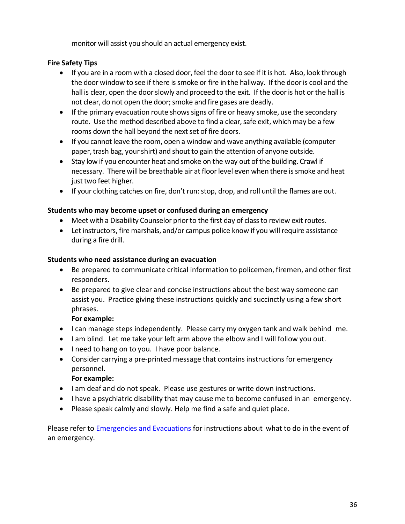monitor will assist you should an actual emergency exist.

#### **Fire Safety Tips**

- If you are in a room with a closed door, feel the door to see if it is hot. Also, look through the door window to see if there is smoke or fire in the hallway. If the door is cool and the hall is clear, open the door slowly and proceed to the exit. If the door is hot or the hall is not clear, do not open the door; smoke and fire gases are deadly.
- If the primary evacuation route shows signs of fire or heavy smoke, use the secondary route. Use the method described above to find a clear, safe exit, which may be a few rooms down the hall beyond the next set of fire doors.
- If you cannot leave the room, open a window and wave anything available (computer paper, trash bag, your shirt) and shout to gain the attention of anyone outside.
- Stay low if you encounter heat and smoke on the way out of the building. Crawl if necessary. There will be breathable air at floor level even when there is smoke and heat just two feet higher.
- If your clothing catches on fire, don't run:stop, drop, and roll until the flames are out.

#### **Students who may become upset or confused during an emergency**

- Meet with a Disability Counselor prior to the first day of class to review exit routes.
- Let instructors, fire marshals, and/or campus police know if you will require assistance during a fire drill.

#### **Students who need assistance during an evacuation**

- Be prepared to communicate critical information to policemen, firemen, and other first responders.
- Be prepared to give clear and concise instructions about the best way someone can assist you. Practice giving these instructions quickly and succinctly using a few short phrases.

#### **For example:**

- I can manage steps independently. Please carry my oxygen tank and walk behind me.
- I am blind. Let me take your left arm above the elbow and I will follow you out.
- I need to hang on to you. I have poor balance.
- Consider carrying a pre-printed message that contains instructions for emergency personnel.

#### **For example:**

- I am deaf and do not speak. Please use gestures or write down instructions.
- I have a psychiatric disability that may cause me to become confused in an emergency.
- Please speak calmly and slowly. Help me find a safe and quiet place.

Please refer to [Emergencies](https://www.northshore.edu/safety/emergencies/) and Evacuations for instructions about what to do in the [event](http://www.northshore.edu/safety/emergencies_evacuations.html) of [an](http://www.northshore.edu/safety/emergencies_evacuations.html) emergency.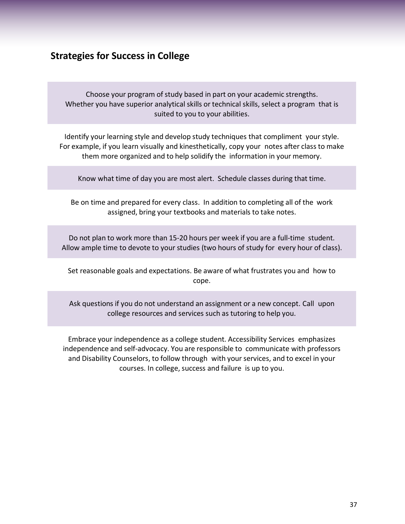## <span id="page-36-0"></span>**Strategies for Success in College**

Choose your program of study based in part on your academic strengths. Whether you have superior analytical skills or technical skills, select a program that is suited to you to your abilities.

Identify your learning style and develop study techniques that compliment your style. For example, if you learn visually and kinesthetically, copy your notes after class to make them more organized and to help solidify the information in your memory.

Know what time of day you are most alert. Schedule classes during that time.

Be on time and prepared for every class. In addition to completing all of the work assigned, bring your textbooks and materials to take notes.

Do not plan to work more than 15-20 hours per week if you are a full-time student. Allow ample time to devote to your studies (two hours of study for every hour of class).

Set reasonable goals and expectations. Be aware of what frustrates you and how to cope.

Ask questions if you do not understand an assignment or a new concept. Call upon college resources and services such as tutoring to help you.

Embrace your independence as a college student. Accessibility Services emphasizes independence and self-advocacy. You are responsible to communicate with professors and Disability Counselors, to follow through with your services, and to excel in your courses. In college, success and failure is up to you.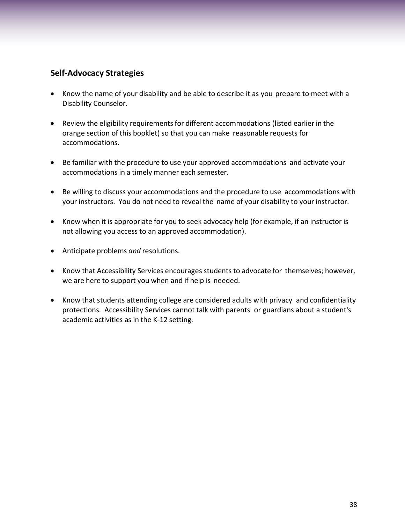## <span id="page-37-0"></span>**Self-Advocacy Strategies**

- Know the name of your disability and be able to describe it as you prepare to meet with a Disability Counselor.
- Review the eligibility requirements for different accommodations (listed earlier in the orange section of this booklet) so that you can make reasonable requests for accommodations.
- Be familiar with the procedure to use your approved accommodations and activate your accommodations in a timely manner each semester.
- Be willing to discuss your accommodations and the procedure to use accommodations with your instructors. You do not need to reveal the name of your disability to your instructor.
- Know when it is appropriate for you to seek advocacy help (for example, if an instructor is not allowing you access to an approved accommodation).
- Anticipate problems *and* resolutions.
- Know that Accessibility Services encourages students to advocate for themselves; however, we are here to support you when and if help is needed.
- Know that students attending college are considered adults with privacy and confidentiality protections. Accessibility Services cannot talk with parents or guardians about a student's academic activities as in the K-12 setting.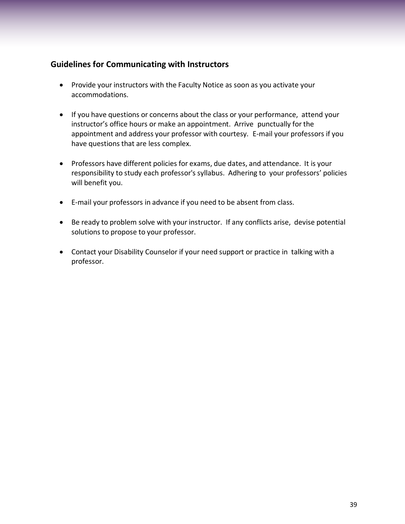## <span id="page-38-0"></span>**Guidelines for Communicating with Instructors**

- Provide your instructors with the Faculty Notice as soon as you activate your accommodations.
- If you have questions or concerns about the class or your performance, attend your instructor's office hours or make an appointment. Arrive punctually for the appointment and address your professor with courtesy. E-mail your professors if you have questions that are less complex.
- Professors have different policies for exams, due dates, and attendance. It is your responsibility to study each professor's syllabus. Adhering to your professors' policies will benefit you.
- E-mail your professors in advance if you need to be absent from class.
- Be ready to problem solve with your instructor. If any conflicts arise, devise potential solutions to propose to your professor.
- Contact your Disability Counselor if your need support or practice in talking with a professor.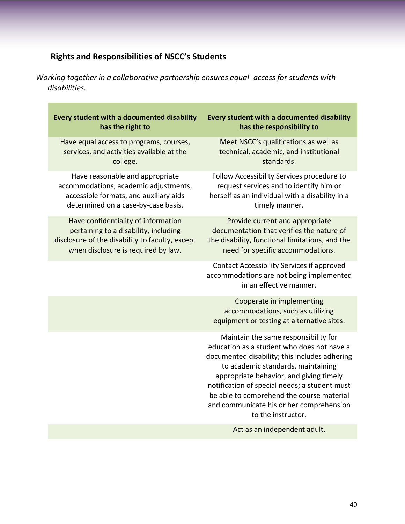# **Rights and Responsibilities of NSCC's Students**

<span id="page-39-0"></span>*Working together in a collaborative partnership ensures equal access for students with disabilities.*

| Every student with a documented disability<br>has the right to                                                                                                         | Every student with a documented disability<br>has the responsibility to                                                                                                                                                                                                                                                                                                              |
|------------------------------------------------------------------------------------------------------------------------------------------------------------------------|--------------------------------------------------------------------------------------------------------------------------------------------------------------------------------------------------------------------------------------------------------------------------------------------------------------------------------------------------------------------------------------|
| Have equal access to programs, courses,<br>services, and activities available at the<br>college.                                                                       | Meet NSCC's qualifications as well as<br>technical, academic, and institutional<br>standards.                                                                                                                                                                                                                                                                                        |
| Have reasonable and appropriate<br>accommodations, academic adjustments,<br>accessible formats, and auxiliary aids<br>determined on a case-by-case basis.              | Follow Accessibility Services procedure to<br>request services and to identify him or<br>herself as an individual with a disability in a<br>timely manner.                                                                                                                                                                                                                           |
| Have confidentiality of information<br>pertaining to a disability, including<br>disclosure of the disability to faculty, except<br>when disclosure is required by law. | Provide current and appropriate<br>documentation that verifies the nature of<br>the disability, functional limitations, and the<br>need for specific accommodations.                                                                                                                                                                                                                 |
|                                                                                                                                                                        | Contact Accessibility Services if approved<br>accommodations are not being implemented<br>in an effective manner.                                                                                                                                                                                                                                                                    |
|                                                                                                                                                                        | Cooperate in implementing<br>accommodations, such as utilizing<br>equipment or testing at alternative sites.                                                                                                                                                                                                                                                                         |
|                                                                                                                                                                        | Maintain the same responsibility for<br>education as a student who does not have a<br>documented disability; this includes adhering<br>to academic standards, maintaining<br>appropriate behavior, and giving timely<br>notification of special needs; a student must<br>be able to comprehend the course material<br>and communicate his or her comprehension<br>to the instructor. |
|                                                                                                                                                                        | Act as an independent adult.                                                                                                                                                                                                                                                                                                                                                         |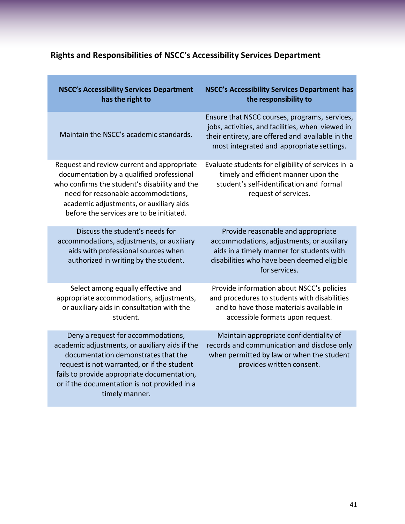# <span id="page-40-0"></span>**Rights and Responsibilities of NSCC's Accessibility Services Department**

| <b>NSCC's Accessibility Services Department</b><br>has the right to                                                                                                                                                                                                                         | NSCC's Accessibility Services Department has<br>the responsibility to                                                                                                                              |
|---------------------------------------------------------------------------------------------------------------------------------------------------------------------------------------------------------------------------------------------------------------------------------------------|----------------------------------------------------------------------------------------------------------------------------------------------------------------------------------------------------|
| Maintain the NSCC's academic standards.                                                                                                                                                                                                                                                     | Ensure that NSCC courses, programs, services,<br>jobs, activities, and facilities, when viewed in<br>their entirety, are offered and available in the<br>most integrated and appropriate settings. |
| Request and review current and appropriate<br>documentation by a qualified professional<br>who confirms the student's disability and the<br>need for reasonable accommodations,<br>academic adjustments, or auxiliary aids<br>before the services are to be initiated.                      | Evaluate students for eligibility of services in a<br>timely and efficient manner upon the<br>student's self-identification and formal<br>request of services.                                     |
| Discuss the student's needs for<br>accommodations, adjustments, or auxiliary<br>aids with professional sources when<br>authorized in writing by the student.                                                                                                                                | Provide reasonable and appropriate<br>accommodations, adjustments, or auxiliary<br>aids in a timely manner for students with<br>disabilities who have been deemed eligible<br>for services.        |
| Select among equally effective and<br>appropriate accommodations, adjustments,<br>or auxiliary aids in consultation with the<br>student.                                                                                                                                                    | Provide information about NSCC's policies<br>and procedures to students with disabilities<br>and to have those materials available in<br>accessible formats upon request.                          |
| Deny a request for accommodations,<br>academic adjustments, or auxiliary aids if the<br>documentation demonstrates that the<br>request is not warranted, or if the student<br>fails to provide appropriate documentation,<br>or if the documentation is not provided in a<br>timely manner. | Maintain appropriate confidentiality of<br>records and communication and disclose only<br>when permitted by law or when the student<br>provides written consent.                                   |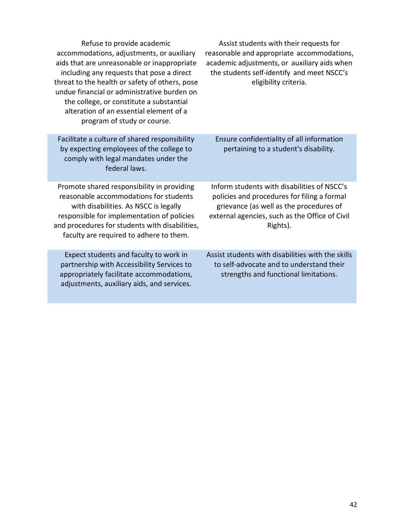| Refuse to provide academic<br>accommodations, adjustments, or auxiliary<br>aids that are unreasonable or inappropriate<br>including any requests that pose a direct<br>threat to the health or safety of others, pose<br>undue financial or administrative burden on<br>the college, or constitute a substantial<br>alteration of an essential element of a<br>program of study or course. | Assist students with their requests for<br>reasonable and appropriate accommodations,<br>academic adjustments, or auxiliary aids when<br>the students self-identify and meet NSCC's<br>eligibility criteria. |
|--------------------------------------------------------------------------------------------------------------------------------------------------------------------------------------------------------------------------------------------------------------------------------------------------------------------------------------------------------------------------------------------|--------------------------------------------------------------------------------------------------------------------------------------------------------------------------------------------------------------|
| Facilitate a culture of shared responsibility<br>by expecting employees of the college to<br>comply with legal mandates under the<br>federal laws.                                                                                                                                                                                                                                         | Ensure confidentiality of all information<br>pertaining to a student's disability.                                                                                                                           |
| Promote shared responsibility in providing<br>reasonable accommodations for students<br>with disabilities. As NSCC is legally<br>responsible for implementation of policies<br>and procedures for students with disabilities,<br>faculty are required to adhere to them.                                                                                                                   | Inform students with disabilities of NSCC's<br>policies and procedures for filing a formal<br>grievance (as well as the procedures of<br>external agencies, such as the Office of Civil<br>Rights).          |
| Expect students and faculty to work in<br>partnership with Accessibility Services to<br>appropriately facilitate accommodations,<br>adjustments, auxiliary aids, and services.                                                                                                                                                                                                             | Assist students with disabilities with the skills<br>to self-advocate and to understand their<br>strengths and functional limitations.                                                                       |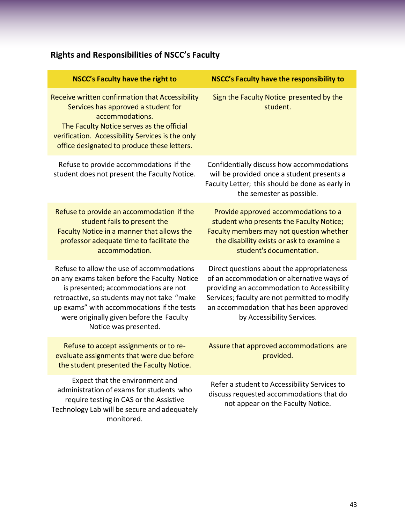# <span id="page-42-0"></span>**Rights and Responsibilities of NSCC's Faculty**

| <b>NSCC's Faculty have the right to</b>                                                                                                                                                                                                                                                             | NSCC's Faculty have the responsibility to                                                                                                                                                                                                                         |
|-----------------------------------------------------------------------------------------------------------------------------------------------------------------------------------------------------------------------------------------------------------------------------------------------------|-------------------------------------------------------------------------------------------------------------------------------------------------------------------------------------------------------------------------------------------------------------------|
| Receive written confirmation that Accessibility<br>Services has approved a student for<br>accommodations.<br>The Faculty Notice serves as the official<br>verification. Accessibility Services is the only<br>office designated to produce these letters.                                           | Sign the Faculty Notice presented by the<br>student.                                                                                                                                                                                                              |
| Refuse to provide accommodations if the<br>student does not present the Faculty Notice.                                                                                                                                                                                                             | Confidentially discuss how accommodations<br>will be provided once a student presents a<br>Faculty Letter; this should be done as early in<br>the semester as possible.                                                                                           |
| Refuse to provide an accommodation if the<br>student fails to present the<br>Faculty Notice in a manner that allows the<br>professor adequate time to facilitate the<br>accommodation.                                                                                                              | Provide approved accommodations to a<br>student who presents the Faculty Notice;<br>Faculty members may not question whether<br>the disability exists or ask to examine a<br>student's documentation.                                                             |
| Refuse to allow the use of accommodations<br>on any exams taken before the Faculty Notice<br>is presented; accommodations are not<br>retroactive, so students may not take "make<br>up exams" with accommodations if the tests<br>were originally given before the Faculty<br>Notice was presented. | Direct questions about the appropriateness<br>of an accommodation or alternative ways of<br>providing an accommodation to Accessibility<br>Services; faculty are not permitted to modify<br>an accommodation that has been approved<br>by Accessibility Services. |
| Refuse to accept assignments or to re-<br>evaluate assignments that were due before<br>the student presented the Faculty Notice.                                                                                                                                                                    | Assure that approved accommodations are<br>provided.                                                                                                                                                                                                              |
| Expect that the environment and<br>administration of exams for students who<br>require testing in CAS or the Assistive<br>Technology Lab will be secure and adequately<br>monitored.                                                                                                                | Refer a student to Accessibility Services to<br>discuss requested accommodations that do<br>not appear on the Faculty Notice.                                                                                                                                     |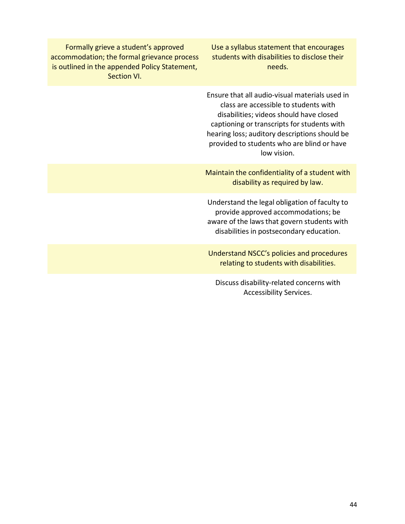Formally grieve a student's approved accommodation; the formal grievance process is outlined in the appended Policy Statement, Section VI.

Use a syllabus statement that encourages students with disabilities to disclose their needs.

Ensure that all audio-visual materials used in class are accessible to students with disabilities; videos should have closed captioning or transcripts for students with hearing loss; auditory descriptions should be provided to students who are blind or have low vision.

Maintain the confidentiality of a student with disability as required by law.

Understand the legal obligation of faculty to provide approved accommodations; be aware of the laws that govern students with disabilities in postsecondary education.

Understand NSCC's policies and procedures relating to students with disabilities.

Discuss disability-related concerns with Accessibility Services.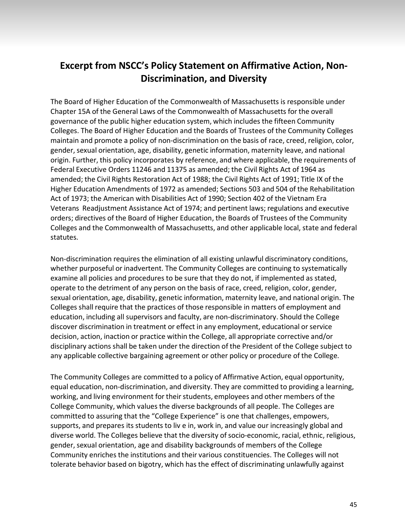## <span id="page-44-0"></span>**Excerpt from NSCC's Policy Statement on Affirmative Action, Non-Discrimination, and Diversity**

The Board of Higher Education of the Commonwealth of Massachusetts is responsible under Chapter 15A of the General Laws of the Commonwealth of Massachusetts for the overall governance of the public higher education system, which includes the fifteen Community Colleges. The Board of Higher Education and the Boards of Trustees of the Community Colleges maintain and promote a policy of non-discrimination on the basis of race, creed, religion, color, gender, sexual orientation, age, disability, genetic information, maternity leave, and national origin. Further, this policy incorporates by reference, and where applicable, the requirements of Federal Executive Orders 11246 and 11375 as amended; the Civil Rights Act of 1964 as amended; the Civil Rights Restoration Act of 1988; the Civil Rights Act of 1991; Title IX of the Higher Education Amendments of 1972 as amended; Sections 503 and 504 of the Rehabilitation Act of 1973; the American with Disabilities Act of 1990; Section 402 of the Vietnam Era Veterans Readjustment Assistance Act of 1974; and pertinent laws; regulations and executive orders; directives of the Board of Higher Education, the Boards of Trustees of the Community Colleges and the Commonwealth of Massachusetts, and other applicable local, state and federal statutes.

Non-discrimination requires the elimination of all existing unlawful discriminatory conditions, whether purposeful or inadvertent. The Community Colleges are continuing to systematically examine all policies and procedures to be sure that they do not, if implemented as stated, operate to the detriment of any person on the basis of race, creed, religion, color, gender, sexual orientation, age, disability, genetic information, maternity leave, and national origin. The Colleges shall require that the practices of those responsible in matters of employment and education, including all supervisors and faculty, are non-discriminatory. Should the College discover discrimination in treatment or effect in any employment, educational or service decision, action, inaction or practice within the College, all appropriate corrective and/or disciplinary actions shall be taken under the direction of the President of the College subject to any applicable collective bargaining agreement or other policy or procedure of the College.

The Community Colleges are committed to a policy of Affirmative Action, equal opportunity, equal education, non-discrimination, and diversity. They are committed to providing a learning, working, and living environment for their students, employees and other members of the College Community, which values the diverse backgrounds of all people. The Colleges are committed to assuring that the "College Experience" is one that challenges, empowers, supports, and prepares its students to liv e in, work in, and value our increasingly global and diverse world. The Colleges believe that the diversity of socio-economic, racial, ethnic, religious, gender,sexual orientation, age and disability backgrounds of members of the College Community enriches the institutions and their various constituencies. The Colleges will not tolerate behavior based on bigotry, which has the effect of discriminating unlawfully against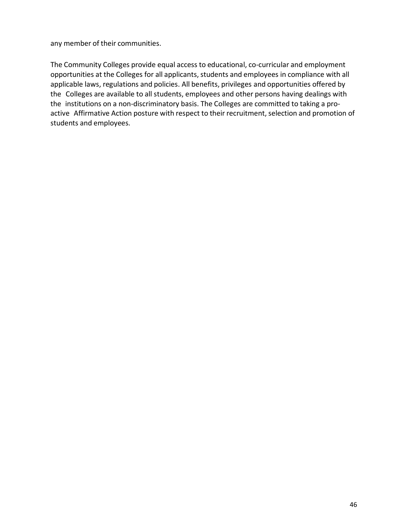any member of their communities.

The Community Colleges provide equal access to educational, co-curricular and employment opportunities at the Colleges for all applicants, students and employees in compliance with all applicable laws, regulations and policies. All benefits, privileges and opportunities offered by the Colleges are available to all students, employees and other persons having dealings with the institutions on a non-discriminatory basis. The Colleges are committed to taking a proactive Affirmative Action posture with respect to their recruitment, selection and promotion of students and employees.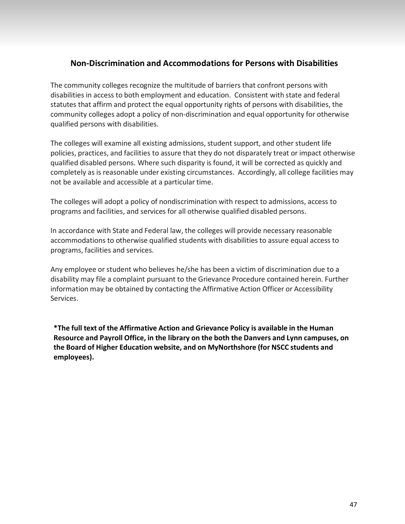## **Non-Discrimination and Accommodations for Persons with Disabilities**

<span id="page-46-0"></span>The community colleges recognize the multitude of barriers that confront persons with disabilities in access to both employment and education. Consistent with state and federal statutes that affirm and protect the equal opportunity rights of persons with disabilities, the community colleges adopt a policy of non-discrimination and equal opportunity for otherwise qualified persons with disabilities.

The colleges will examine all existing admissions, student support, and other student life policies, practices, and facilities to assure that they do not disparately treat or impact otherwise qualified disabled persons. Where such disparity is found, it will be corrected as quickly and completely as is reasonable under existing circumstances. Accordingly, all college facilities may not be available and accessible at a particular time.

The colleges will adopt a policy of nondiscrimination with respect to admissions, access to programs and facilities, and services for all otherwise qualified disabled persons.

In accordance with State and Federal law, the colleges will provide necessary reasonable accommodations to otherwise qualified students with disabilities to assure equal access to programs, facilities and services.

Any employee or student who believes he/she has been a victim of discrimination due to a disability may file a complaint pursuant to the Grievance Procedure contained herein. Further information may be obtained by contacting the Affirmative Action Officer or Accessibility Services.

**\*The full text of the Affirmative Action and Grievance Policy is available in the Human Resource and Payroll Office, in the library on the both the Danvers and Lynn campuses, on the Board of Higher Education website, and on MyNorthshore (for NSCC students and employees).**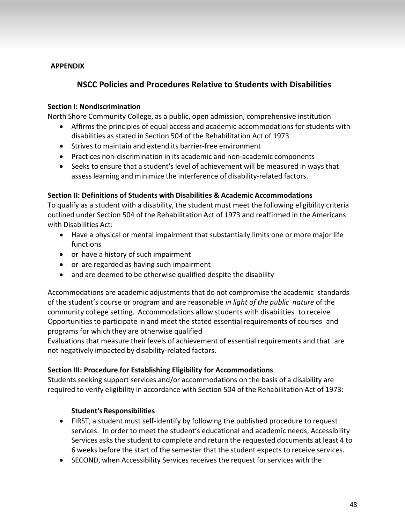#### <span id="page-47-0"></span>**APPENDIX**

## **NSCC Policies and Procedures Relative to Students with Disabilities**

#### <span id="page-47-1"></span>**Section I: Nondiscrimination**

North Shore Community College, as a public, open admission, comprehensive institution

- Affirms the principles of equal access and academic accommodations for students with disabilities as stated in Section 504 of the Rehabilitation Act of 1973
- Strives to maintain and extend its barrier-free environment
- Practices non-discrimination in its academic and non-academic components
- Seeks to ensure that a student's level of achievement will be measured in ways that assess learning and minimize the interference of disability-related factors.

#### <span id="page-47-2"></span>**Section II: Definitions of Students with Disabilities & Academic Accommodations**

To qualify as a student with a disability, the student must meet the following eligibility criteria outlined under Section 504 of the Rehabilitation Act of 1973 and reaffirmed in the Americans with Disabilities Act:

- Have a physical or mental impairment that substantially limits one or more major life functions
- or have a history of such impairment
- or are regarded as having such impairment
- and are deemed to be otherwise qualified despite the disability

Accommodations are academic adjustments that do not compromise the academic standards of the student's course or program and are reasonable *in light of the public nature* of the community college setting. Accommodations allow students with disabilities to receive Opportunities to participate in and meet the stated essential requirements of courses and programs for which they are otherwise qualified

Evaluations that measure their levels of achievement of essential requirements and that are not negatively impacted by disability-related factors.

#### <span id="page-47-3"></span>**Section III: Procedure for Establishing Eligibility for Accommodations**

Students seeking support services and/or accommodations on the basis of a disability are required to verify eligibility in accordance with Section 504 of the Rehabilitation Act of 1973:

#### **Student's Responsibilities**

- FIRST, a student must self-identify by following the published procedure to request services. In order to meet the student's educational and academic needs, Accessibility Services asks the student to complete and return the requested documents at least 4 to 6 weeks before the start of the semester that the student expects to receive services.
- SECOND, when Accessibility Services receives the request for services with the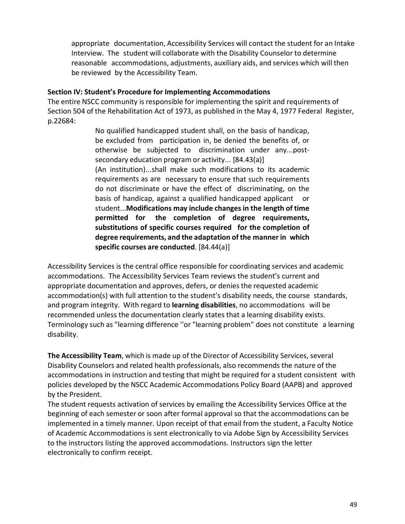appropriate documentation, Accessibility Services will contact the student for an Intake Interview. The student will collaborate with the Disability Counselor to determine reasonable accommodations, adjustments, auxiliary aids, and services which will then be reviewed by the Accessibility Team.

#### <span id="page-48-0"></span>**Section IV: Student's Procedure for Implementing Accommodations**

The entire NSCC community is responsible for implementing the spirit and requirements of Section 504 of the Rehabilitation Act of 1973, as published in the May 4, 1977 Federal Register, p.22684:

> No qualified handicapped student shall, on the basis of handicap, be excluded from participation in, be denied the benefits of, or otherwise be subjected to discrimination under any...postsecondary education program or activity... [84.43(a)] (An institution)...shall make such modifications to its academic requirements as are necessary to ensure that such requirements do not discriminate or have the effect of discriminating, on the basis of handicap, against a qualified handicapped applicant or student...**Modifications may include changes in the length of time permitted for the completion of degree requirements, substitutions of specific courses required for the completion of degree requirements, and the adaptation of the manner in which specific courses are conducted**. [84.44(a)]

Accessibility Services is the central office responsible for coordinating services and academic accommodations. The Accessibility Services Team reviews the student's current and appropriate documentation and approves, defers, or denies the requested academic accommodation(s) with full attention to the student's disability needs, the course standards, and program integrity. With regard to **learning disabilities**, no accommodations will be recommended unless the documentation clearly states that a learning disability exists. Terminology such as "learning difference ''or "learning problem" does not constitute a learning disability.

**The Accessibility Team**, which is made up of the Director of Accessibility Services, several Disability Counselors and related health professionals, also recommends the nature of the accommodations in instruction and testing that might be required for a student consistent with policies developed by the NSCC Academic Accommodations Policy Board (AAPB) and approved by the President.

The student requests activation of services by emailing the Accessibility Services Office at the beginning of each semester or soon after formal approval so that the accommodations can be implemented in a timely manner. Upon receipt of that email from the student, a Faculty Notice of Academic Accommodations is sent electronically to via Adobe Sign by Accessibility Services to the instructors listing the approved accommodations. Instructors sign the letter electronically to confirm receipt.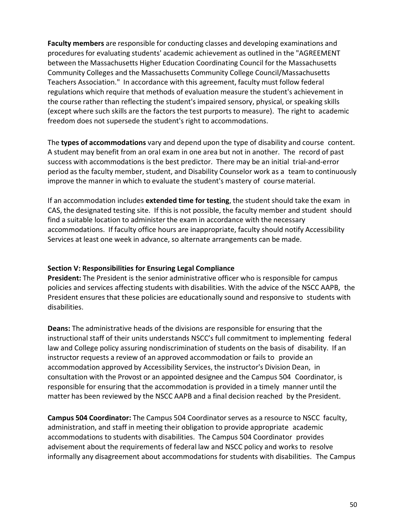**Faculty members** are responsible for conducting classes and developing examinations and procedures for evaluating students' academic achievement as outlined in the "AGREEMENT between the Massachusetts Higher Education Coordinating Council for the Massachusetts Community Colleges and the Massachusetts Community College Council/Massachusetts Teachers Association." In accordance with this agreement, faculty must follow federal regulations which require that methods of evaluation measure the student's achievement in the course rather than reflecting the student's impaired sensory, physical, or speaking skills (except where such skills are the factors the test purports to measure). The right to academic freedom does not supersede the student's right to accommodations.

The **types of accommodations** vary and depend upon the type of disability and course content. A student may benefit from an oral exam in one area but not in another. The record of past success with accommodations is the best predictor. There may be an initial trial-and-error period as the faculty member, student, and Disability Counselor work as a team to continuously improve the manner in which to evaluate the student's mastery of course material.

If an accommodation includes **extended time for testing**, the student should take the exam in CAS, the designated testing site. If this is not possible, the faculty member and student should find a suitable location to administer the exam in accordance with the necessary accommodations. If faculty office hours are inappropriate, faculty should notify Accessibility Services at least one week in advance, so alternate arrangements can be made.

#### <span id="page-49-0"></span>**Section V: Responsibilities for Ensuring Legal Compliance**

**President:** The President is the senior administrative officer who is responsible for campus policies and services affecting students with disabilities. With the advice of the NSCC AAPB, the President ensures that these policies are educationally sound and responsive to students with disabilities.

**Deans:** The administrative heads of the divisions are responsible for ensuring that the instructional staff of their units understands NSCC's full commitment to implementing federal law and College policy assuring nondiscrimination of students on the basis of disability. If an instructor requests a review of an approved accommodation or fails to provide an accommodation approved by Accessibility Services, the instructor's Division Dean, in consultation with the Provost or an appointed designee and the Campus 504 Coordinator, is responsible for ensuring that the accommodation is provided in a timely manner until the matter has been reviewed by the NSCC AAPB and a final decision reached by the President.

**Campus 504 Coordinator:** The Campus 504 Coordinatorserves as a resource to NSCC faculty, administration, and staff in meeting their obligation to provide appropriate academic accommodations to students with disabilities. The Campus 504 Coordinator provides advisement about the requirements of federal law and NSCC policy and works to resolve informally any disagreement about accommodations for students with disabilities. The Campus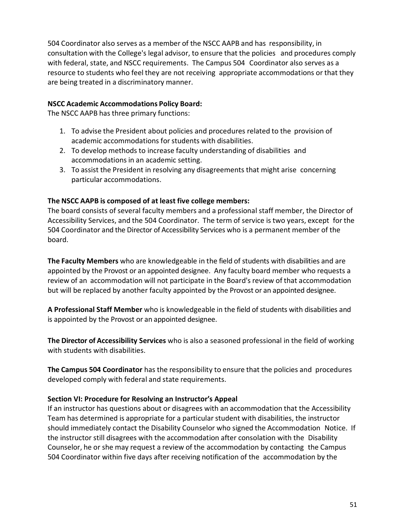504 Coordinator also serves as a member of the NSCC AAPB and has responsibility, in consultation with the College's legal advisor, to ensure that the policies and procedures comply with federal, state, and NSCC requirements. The Campus 504 Coordinator also serves as a resource to students who feel they are not receiving appropriate accommodations or that they are being treated in a discriminatory manner.

#### **NSCC Academic Accommodations Policy Board:**

The NSCC AAPB has three primary functions:

- 1. To advise the President about policies and procedures related to the provision of academic accommodations forstudents with disabilities.
- 2. To develop methods to increase faculty understanding of disabilities and accommodations in an academic setting.
- 3. To assist the President in resolving any disagreements that might arise concerning particular accommodations.

#### **The NSCC AAPB is composed of at least five college members:**

The board consists of several faculty members and a professional staff member, the Director of Accessibility Services, and the 504 Coordinator. The term of service is two years, except for the 504 Coordinator and the Director of Accessibility Services who is a permanent member of the board.

**The Faculty Members** who are knowledgeable in the field of students with disabilities and are appointed by the Provost or an appointed designee. Any faculty board member who requests a review of an accommodation will not participate in the Board's review of that accommodation but will be replaced by another faculty appointed by the Provost or an appointed designee.

**A Professional Staff Member** who is knowledgeable in the field ofstudents with disabilities and is appointed by the Provost or an appointed designee.

**The Director of Accessibility Services** who is also a seasoned professional in the field of working with students with disabilities.

**The Campus 504 Coordinator** has the responsibility to ensure that the policies and procedures developed comply with federal and state requirements.

#### <span id="page-50-0"></span>**Section VI: Procedure for Resolving an Instructor's Appeal**

If an instructor has questions about or disagrees with an accommodation that the Accessibility Team has determined is appropriate for a particular student with disabilities, the instructor should immediately contact the Disability Counselor who signed the Accommodation Notice. If the instructor still disagrees with the accommodation after consolation with the Disability Counselor, he or she may request a review of the accommodation by contacting the Campus 504 Coordinator within five days after receiving notification of the accommodation by the